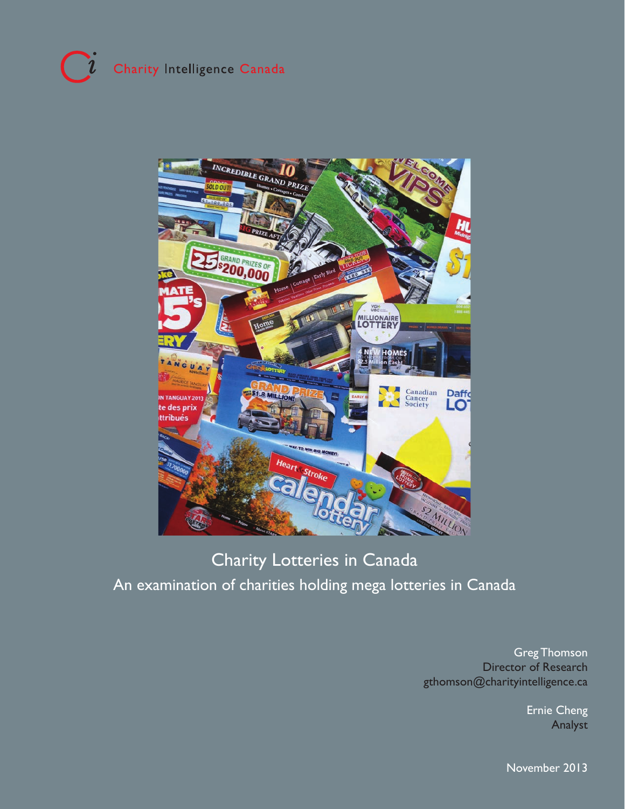# $\overline{\mathbf{u}}$ Charity Intelligence Canada



# Charity Lotteries in Canada An examination of charities holding mega lotteries in Canada

Greg Thomson Director of Research gthomson@charityintelligence.ca

> Ernie Cheng Analyst

November 2013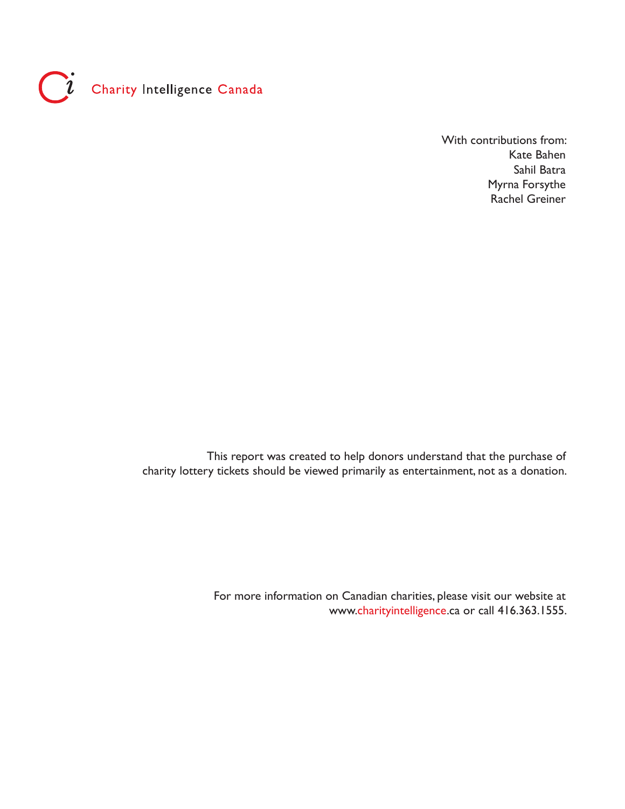

With contributions from: Kate Bahen Sahil Batra Myrna Forsythe Rachel Greiner

This report was created to help donors understand that the purchase of charity lottery tickets should be viewed primarily as entertainment, not as a donation.

> For more information on Canadian charities, please visit our website at www.charityintelligence.ca or call 416.363.1555.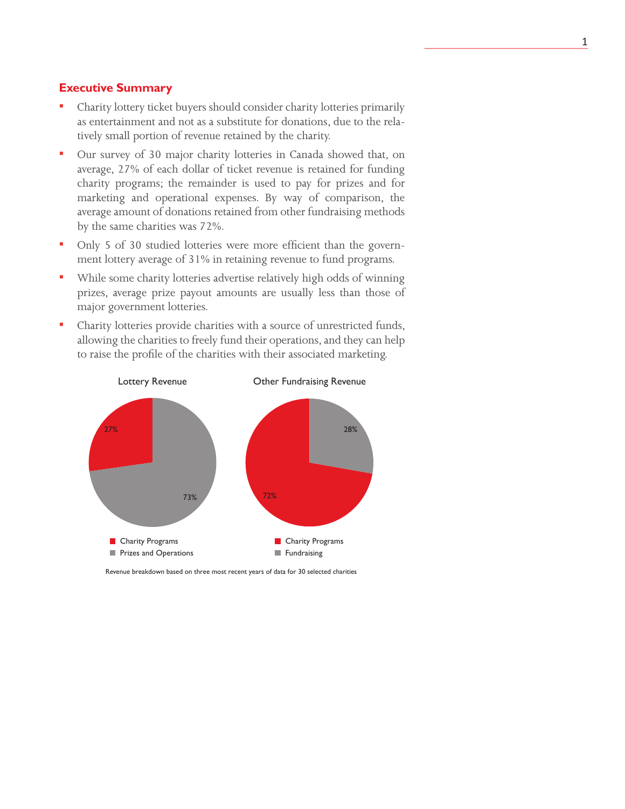### **Executive Summary**

- Charity lottery ticket buyers should consider charity lotteries primarily as entertainment and not as a substitute for donations, due to the relatively small portion of revenue retained by the charity.
- Our survey of 30 major charity lotteries in Canada showed that, on average, 27% of each dollar of ticket revenue is retained for funding charity programs; the remainder is used to pay for prizes and for marketing and operational expenses. By way of comparison, the average amount of donations retained from other fundraising methods by the same charities was 72%.
- Only 5 of 30 studied lotteries were more efficient than the government lottery average of 31% in retaining revenue to fund programs.
- While some charity lotteries advertise relatively high odds of winning prizes, average prize payout amounts are usually less than those of major government lotteries.
- Charity lotteries provide charities with a source of unrestricted funds, allowing the charities to freely fund their operations, and they can help to raise the profile of the charities with their associated marketing.



Revenue breakdown based on three most recent years of data for 30 selected charities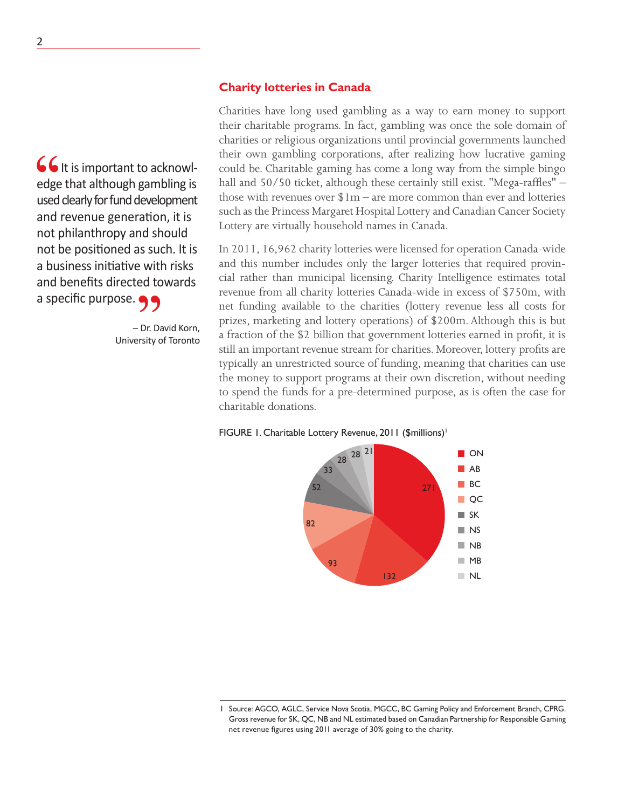### **Charity lotteries in Canada**

**66** It is important to acknowledge that although gambling is used clearly for fund development and revenue generation, it is not philanthropy and should not be positioned as such. It is a business initiative with risks and benefits directed towards a specific purpose.

> – Dr. David Korn, University of Toronto

Charities have long used gambling as a way to earn money to support their charitable programs. In fact, gambling was once the sole domain of charities or religious organizations until provincial governments launched their own gambling corporations, after realizing how lucrative gaming could be. Charitable gaming has come a long way from the simple bingo hall and 50/50 ticket, although these certainly still exist. "Mega-raffles" – those with revenues over  $1m -$  are more common than ever and lotteries such as the Princess Margaret Hospital Lottery and Canadian Cancer Society Lottery are virtually household names in Canada.

In 2011, 16,962 charity lotteries were licensed for operation Canada-wide and this number includes only the larger lotteries that required provincial rather than municipal licensing. Charity Intelligence estimates total revenue from all charity lotteries Canada-wide in excess of \$750m, with net funding available to the charities (lottery revenue less all costs for prizes, marketing and lottery operations) of \$200m. Although this is but a fraction of the \$2 billion that government lotteries earned in profit, it is still an important revenue stream for charities. Moreover, lottery profits are typically an unrestricted source of funding, meaning that charities can use the money to support programs at their own discretion, without needing to spend the funds for a pre-determined purpose, as is often the case for charitable donations.

### FIGURE 1. Charitable Lottery Revenue, 2011 (\$millions)<sup>1</sup>



Source: AGCO, AGLC, Service Nova Scotia, MGCC, BC Gaming Policy and Enforcement Branch, CPRG. Gross revenue for SK, QC, NB and NL estimated based on Canadian Partnership for Responsible Gaming net revenue figures using 2011 average of 30% going to the charity.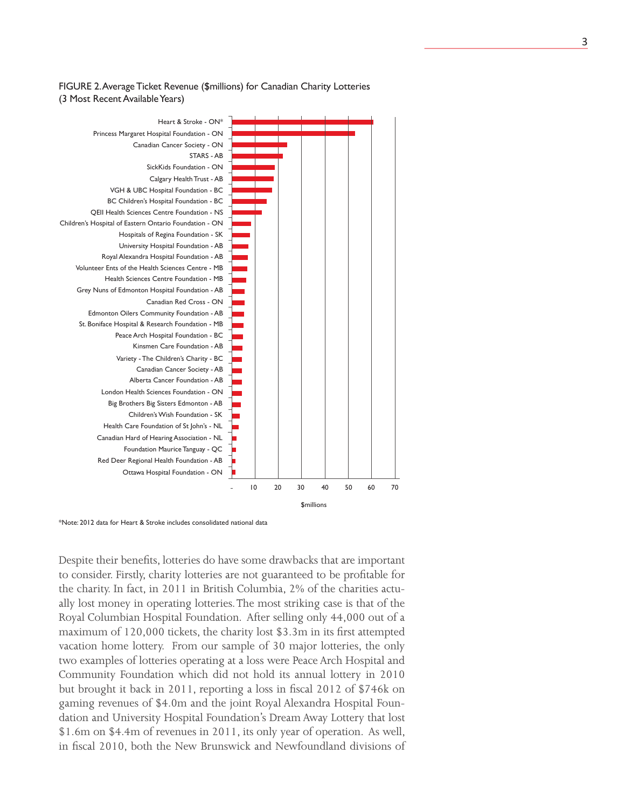### FIGURE 2. Average Ticket Revenue (\$millions) for Canadian Charity Lotteries (3 Most Recent Available Years)



\*Note: 2012 data for Heart & Stroke includes consolidated national data

Despite their benefits, lotteries do have some drawbacks that are important to consider. Firstly, charity lotteries are not guaranteed to be profitable for the charity. In fact, in 2011 in British Columbia, 2% of the charities actually lost money in operating lotteries. The most striking case is that of the Royal Columbian Hospital Foundation. After selling only 44,000 out of a maximum of 120,000 tickets, the charity lost \$3.3m in its first attempted vacation home lottery. From our sample of 30 major lotteries, the only two examples of lotteries operating at a loss were Peace Arch Hospital and Community Foundation which did not hold its annual lottery in 2010 but brought it back in 2011, reporting a loss in fiscal 2012 of \$746k on gaming revenues of \$4.0m and the joint Royal Alexandra Hospital Foundation and University Hospital Foundation's Dream Away Lottery that lost \$1.6m on \$4.4m of revenues in 2011, its only year of operation. As well, in fiscal 2010, both the New Brunswick and Newfoundland divisions of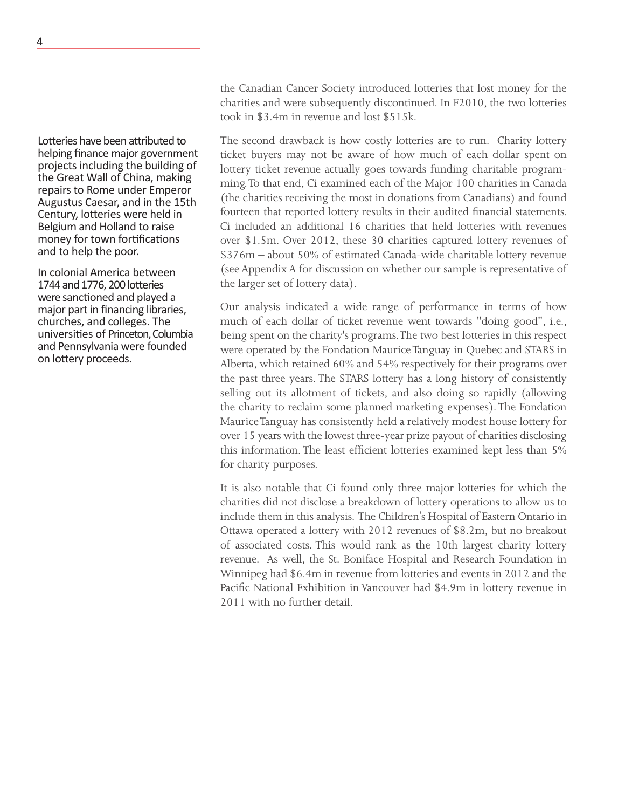the Canadian Cancer Society introduced lotteries that lost money for the charities and were subsequently discontinued. In F2010, the two lotteries took in \$3.4m in revenue and lost \$515k.

The second drawback is how costly lotteries are to run. Charity lottery ticket buyers may not be aware of how much of each dollar spent on lottery ticket revenue actually goes towards funding charitable programming. To that end, Ci examined each of the Major 100 charities in Canada (the charities receiving the most in donations from Canadians) and found fourteen that reported lottery results in their audited financial statements. Ci included an additional 16 charities that held lotteries with revenues over \$1.5m. Over 2012, these 30 charities captured lottery revenues of \$376m – about 50% of estimated Canada-wide charitable lottery revenue (see Appendix A for discussion on whether our sample is representative of the larger set of lottery data).

Our analysis indicated a wide range of performance in terms of how much of each dollar of ticket revenue went towards "doing good", i.e., being spent on the charity's programs. The two best lotteries in this respect were operated by the Fondation Maurice Tanguay in Quebec and STARS in Alberta, which retained 60% and 54% respectively for their programs over the past three years. The STARS lottery has a long history of consistently selling out its allotment of tickets, and also doing so rapidly (allowing the charity to reclaim some planned marketing expenses). The Fondation Maurice Tanguay has consistently held a relatively modest house lottery for over 15 years with the lowest three-year prize payout of charities disclosing this information. The least efficient lotteries examined kept less than 5% for charity purposes.

It is also notable that Ci found only three major lotteries for which the charities did not disclose a breakdown of lottery operations to allow us to include them in this analysis. The Children's Hospital of Eastern Ontario in Ottawa operated a lottery with 2012 revenues of \$8.2m, but no breakout of associated costs. This would rank as the 10th largest charity lottery revenue. As well, the St. Boniface Hospital and Research Foundation in Winnipeg had \$6.4m in revenue from lotteries and events in 2012 and the Pacific National Exhibition in Vancouver had \$4.9m in lottery revenue in 2011 with no further detail.

Lotteries have been attributed to helping finance major government projects including the building of the Great Wall of China, making repairs to Rome under Emperor Augustus Caesar, and in the 15th Century, lotteries were held in Belgium and Holland to raise money for town fortifications and to help the poor.

In colonial America between 1744 and 1776, 200 lotteries were sanctioned and played a major part in financing libraries, churches, and colleges. The universities of Princeton, Columbia and Pennsylvania were founded on lottery proceeds.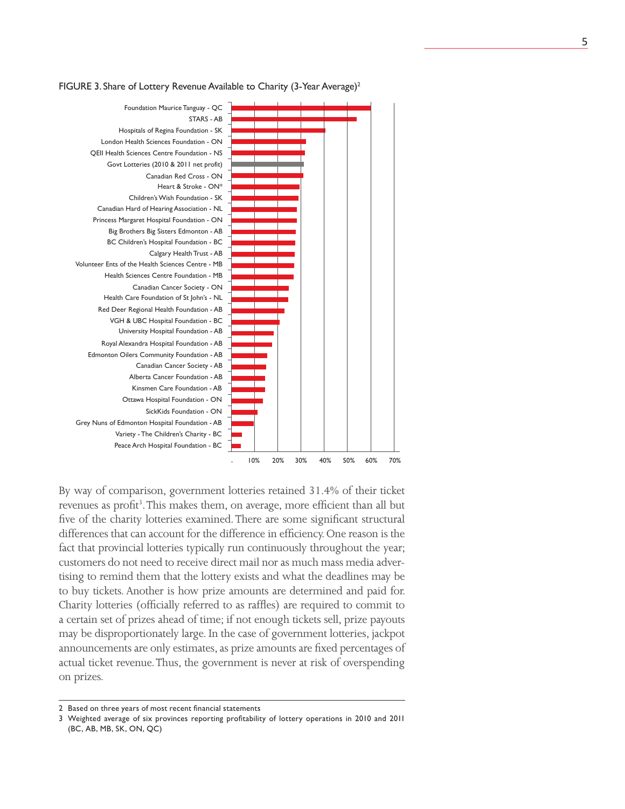

### FIGURE 3. Share of Lottery Revenue Available to Charity (3-Year Average)<sup>2</sup>

By way of comparison, government lotteries retained 31.4% of their ticket revenues as profit<sup>3</sup>. This makes them, on average, more efficient than all but five of the charity lotteries examined. There are some significant structural differences that can account for the difference in efficiency. One reason is the fact that provincial lotteries typically run continuously throughout the year; customers do not need to receive direct mail nor as much mass media advertising to remind them that the lottery exists and what the deadlines may be to buy tickets. Another is how prize amounts are determined and paid for. Charity lotteries (officially referred to as raffles) are required to commit to a certain set of prizes ahead of time; if not enough tickets sell, prize payouts may be disproportionately large. In the case of government lotteries, jackpot announcements are only estimates, as prize amounts are fixed percentages of actual ticket revenue. Thus, the government is never at risk of overspending on prizes.

<sup>2</sup> Based on three years of most recent financial statements

<sup>3</sup> Weighted average of six provinces reporting profitability of lottery operations in 2010 and 2011 (BC, AB, MB, SK, ON, QC)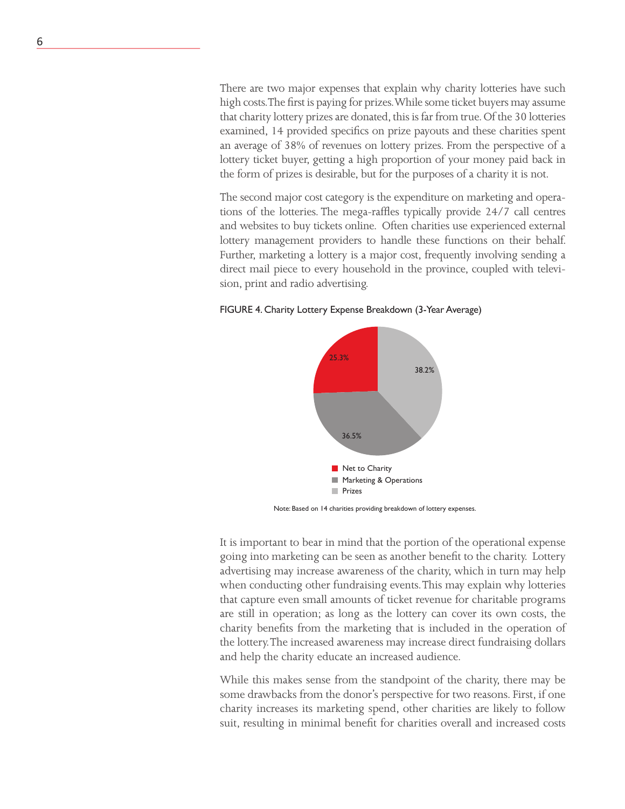There are two major expenses that explain why charity lotteries have such high costs. The first is paying for prizes. While some ticket buyers may assume that charity lottery prizes are donated, this is far from true. Of the 30 lotteries examined, 14 provided specifics on prize payouts and these charities spent an average of 38% of revenues on lottery prizes. From the perspective of a lottery ticket buyer, getting a high proportion of your money paid back in the form of prizes is desirable, but for the purposes of a charity it is not.

The second major cost category is the expenditure on marketing and operations of the lotteries. The mega-raffles typically provide 24/7 call centres and websites to buy tickets online. Often charities use experienced external lottery management providers to handle these functions on their behalf. Further, marketing a lottery is a major cost, frequently involving sending a direct mail piece to every household in the province, coupled with television, print and radio advertising.

### FIGURE 4. Charity Lottery Expense Breakdown (3-Year Average)



Note: Based on 14 charities providing breakdown of lottery expenses.

It is important to bear in mind that the portion of the operational expense going into marketing can be seen as another benefit to the charity. Lottery advertising may increase awareness of the charity, which in turn may help when conducting other fundraising events. This may explain why lotteries that capture even small amounts of ticket revenue for charitable programs are still in operation; as long as the lottery can cover its own costs, the charity benefits from the marketing that is included in the operation of the lottery. The increased awareness may increase direct fundraising dollars and help the charity educate an increased audience.

While this makes sense from the standpoint of the charity, there may be some drawbacks from the donor's perspective for two reasons. First, if one charity increases its marketing spend, other charities are likely to follow suit, resulting in minimal benefit for charities overall and increased costs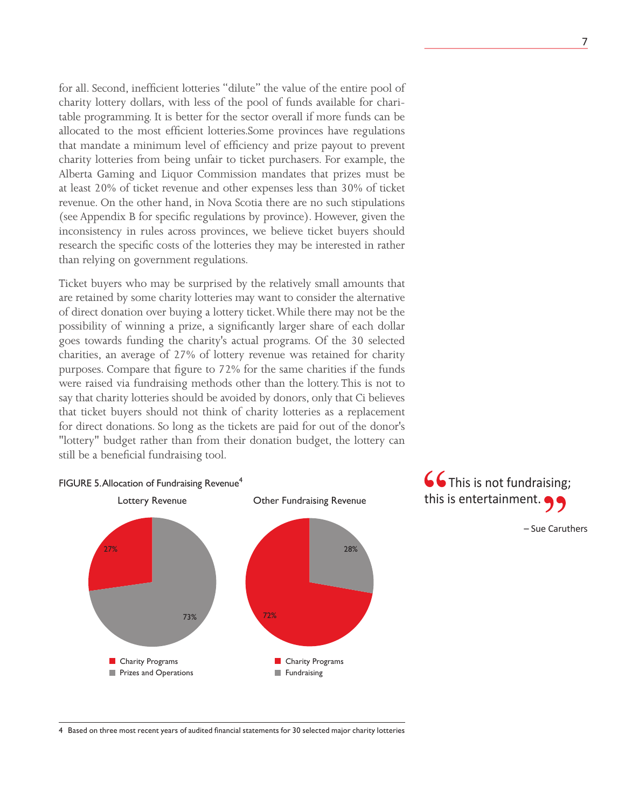for all. Second, inefficient lotteries "dilute" the value of the entire pool of charity lottery dollars, with less of the pool of funds available for charitable programming. It is better for the sector overall if more funds can be allocated to the most efficient lotteries.Some provinces have regulations that mandate a minimum level of efficiency and prize payout to prevent charity lotteries from being unfair to ticket purchasers. For example, the Alberta Gaming and Liquor Commission mandates that prizes must be at least 20% of ticket revenue and other expenses less than 30% of ticket revenue. On the other hand, in Nova Scotia there are no such stipulations (see Appendix B for specific regulations by province). However, given the inconsistency in rules across provinces, we believe ticket buyers should research the specific costs of the lotteries they may be interested in rather than relying on government regulations.

Ticket buyers who may be surprised by the relatively small amounts that are retained by some charity lotteries may want to consider the alternative of direct donation over buying a lottery ticket. While there may not be the possibility of winning a prize, a significantly larger share of each dollar goes towards funding the charity's actual programs. Of the 30 selected charities, an average of 27% of lottery revenue was retained for charity purposes. Compare that figure to 72% for the same charities if the funds were raised via fundraising methods other than the lottery. This is not to say that charity lotteries should be avoided by donors, only that Ci believes that ticket buyers should not think of charity lotteries as a replacement for direct donations. So long as the tickets are paid for out of the donor's "lottery" budget rather than from their donation budget, the lottery can still be a beneficial fundraising tool.





<sup>4</sup> Based on three most recent years of audited financial statements for 30 selected major charity lotteries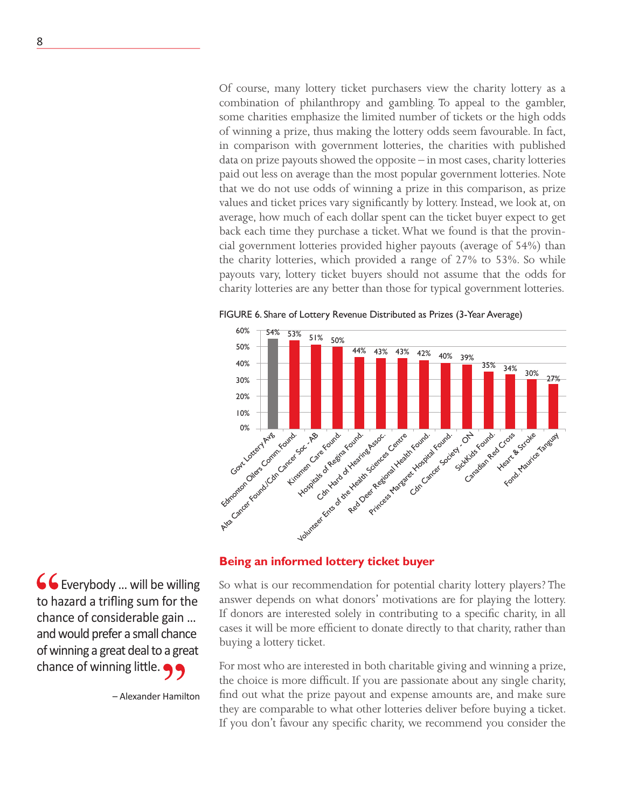Of course, many lottery ticket purchasers view the charity lottery as a combination of philanthropy and gambling. To appeal to the gambler, some charities emphasize the limited number of tickets or the high odds of winning a prize, thus making the lottery odds seem favourable. In fact, in comparison with government lotteries, the charities with published data on prize payouts showed the opposite – in most cases, charity lotteries paid out less on average than the most popular government lotteries. Note that we do not use odds of winning a prize in this comparison, as prize values and ticket prices vary significantly by lottery. Instead, we look at, on average, how much of each dollar spent can the ticket buyer expect to get back each time they purchase a ticket. What we found is that the provincial government lotteries provided higher payouts (average of 54%) than the charity lotteries, which provided a range of 27% to 53%. So while payouts vary, lottery ticket buyers should not assume that the odds for charity lotteries are any better than those for typical government lotteries.



FIGURE 6. Share of Lottery Revenue Distributed as Prizes (3-Year Average)

### **Being an informed lottery ticket buyer**

So what is our recommendation for potential charity lottery players? The answer depends on what donors' motivations are for playing the lottery. If donors are interested solely in contributing to a specific charity, in all cases it will be more efficient to donate directly to that charity, rather than buying a lottery ticket.

For most who are interested in both charitable giving and winning a prize, the choice is more difficult. If you are passionate about any single charity, find out what the prize payout and expense amounts are, and make sure they are comparable to what other lotteries deliver before buying a ticket. If you don't favour any specific charity, we recommend you consider the

 Everybody … will be willing to hazard a trifling sum for the chance of considerable gain … and would prefer a small chance of winning a great deal to a great chance of winning little.

– Alexander Hamilton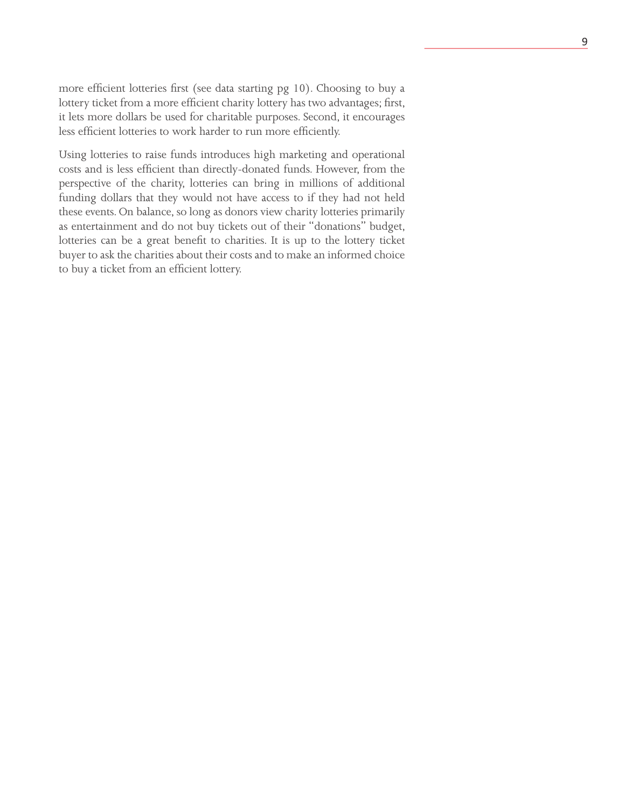more efficient lotteries first (see data starting pg 10). Choosing to buy a lottery ticket from a more efficient charity lottery has two advantages; first, it lets more dollars be used for charitable purposes. Second, it encourages less efficient lotteries to work harder to run more efficiently.

Using lotteries to raise funds introduces high marketing and operational costs and is less efficient than directly-donated funds. However, from the perspective of the charity, lotteries can bring in millions of additional funding dollars that they would not have access to if they had not held these events. On balance, so long as donors view charity lotteries primarily as entertainment and do not buy tickets out of their "donations" budget, lotteries can be a great benefit to charities. It is up to the lottery ticket buyer to ask the charities about their costs and to make an informed choice to buy a ticket from an efficient lottery.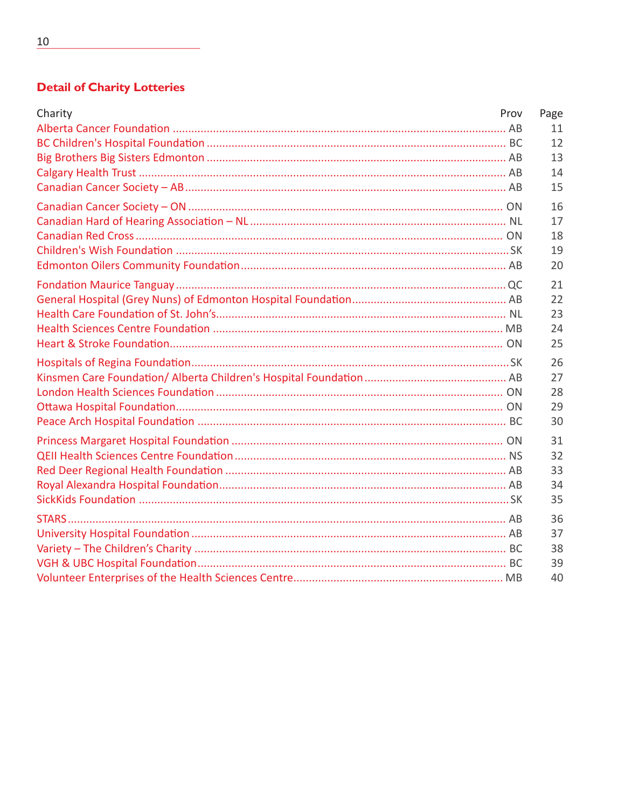# **Detail of Charity Lotteries**

| Charity | Prov | Page |
|---------|------|------|
|         |      | 11   |
|         |      | 12   |
|         |      | 13   |
|         |      | 14   |
|         |      | 15   |
|         |      | 16   |
|         |      | 17   |
|         |      | 18   |
|         |      | 19   |
|         |      | 20   |
|         |      | 21   |
|         |      | 22   |
|         |      | 23   |
|         |      | 24   |
|         |      | 25   |
|         |      | 26   |
|         |      | 27   |
|         |      | 28   |
|         |      | 29   |
|         |      | 30   |
|         |      | 31   |
|         |      | 32   |
|         |      | 33   |
|         |      | 34   |
|         |      | 35   |
|         |      | 36   |
|         |      | 37   |
|         |      | 38   |
|         |      | 39   |
|         |      | 40   |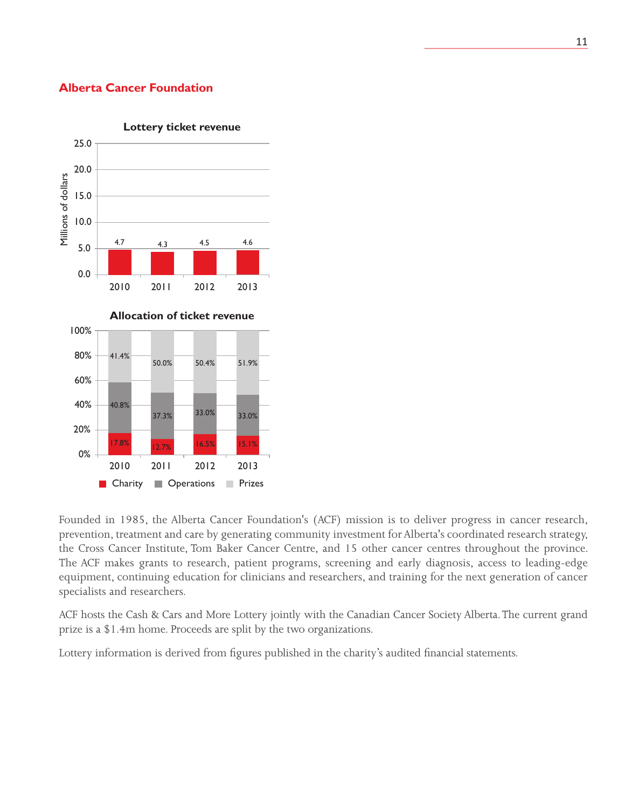### **Alberta Cancer Foundation**



### **Lottery ticket revenue**

Founded in 1985, the Alberta Cancer Foundation's (ACF) mission is to deliver progress in cancer research, prevention, treatment and care by generating community investment for Alberta's coordinated research strategy, the Cross Cancer Institute, Tom Baker Cancer Centre, and 15 other cancer centres throughout the province. The ACF makes grants to research, patient programs, screening and early diagnosis, access to leading-edge equipment, continuing education for clinicians and researchers, and training for the next generation of cancer specialists and researchers.

ACF hosts the Cash & Cars and More Lottery jointly with the Canadian Cancer Society Alberta. The current grand prize is a \$1.4m home. Proceeds are split by the two organizations.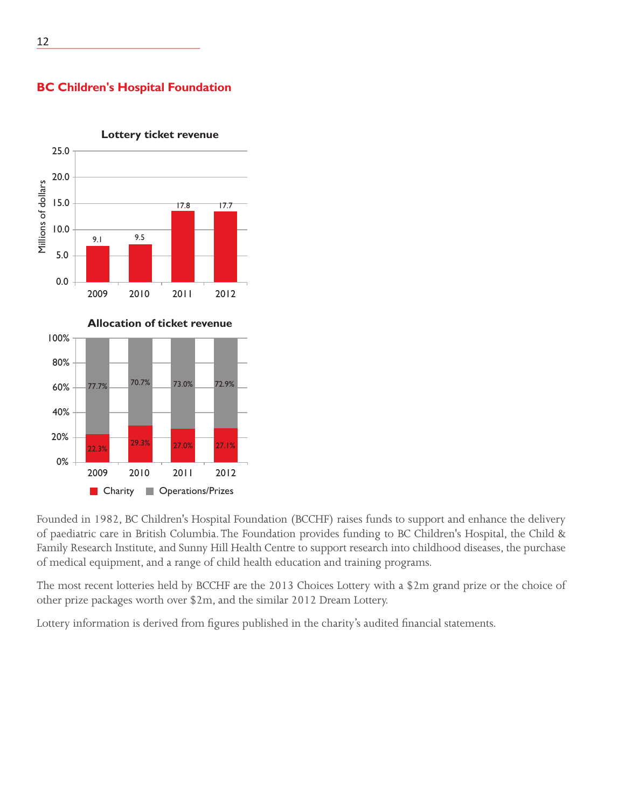

**BC Children's Hospital Foundation**

Founded in 1982, BC Children's Hospital Foundation (BCCHF) raises funds to support and enhance the delivery of paediatric care in British Columbia. The Foundation provides funding to BC Children's Hospital, the Child & Family Research Institute, and Sunny Hill Health Centre to support research into childhood diseases, the purchase of medical equipment, and a range of child health education and training programs.

The most recent lotteries held by BCCHF are the 2013 Choices Lottery with a \$2m grand prize or the choice of other prize packages worth over \$2m, and the similar 2012 Dream Lottery.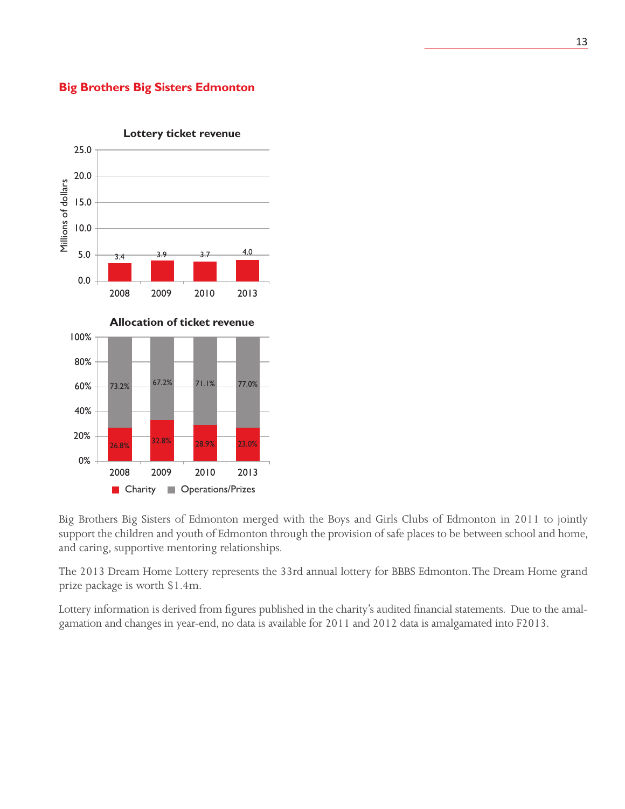### **Big Brothers Big Sisters Edmonton**



Big Brothers Big Sisters of Edmonton merged with the Boys and Girls Clubs of Edmonton in 2011 to jointly support the children and youth of Edmonton through the provision of safe places to be between school and home, and caring, supportive mentoring relationships.

The 2013 Dream Home Lottery represents the 33rd annual lottery for BBBS Edmonton. The Dream Home grand prize package is worth \$1.4m.

Lottery information is derived from figures published in the charity's audited financial statements. Due to the amalgamation and changes in year-end, no data is available for 2011 and 2012 data is amalgamated into F2013.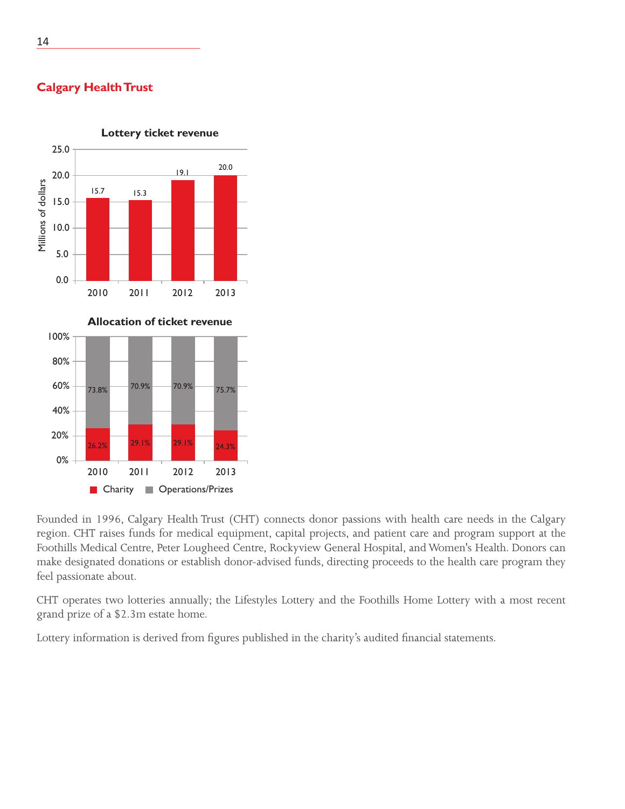

# **Calgary Health Trust**

Founded in 1996, Calgary Health Trust (CHT) connects donor passions with health care needs in the Calgary region. CHT raises funds for medical equipment, capital projects, and patient care and program support at the Foothills Medical Centre, Peter Lougheed Centre, Rockyview General Hospital, and Women's Health. Donors can make designated donations or establish donor-advised funds, directing proceeds to the health care program they feel passionate about.

CHT operates two lotteries annually; the Lifestyles Lottery and the Foothills Home Lottery with a most recent grand prize of a \$2.3m estate home.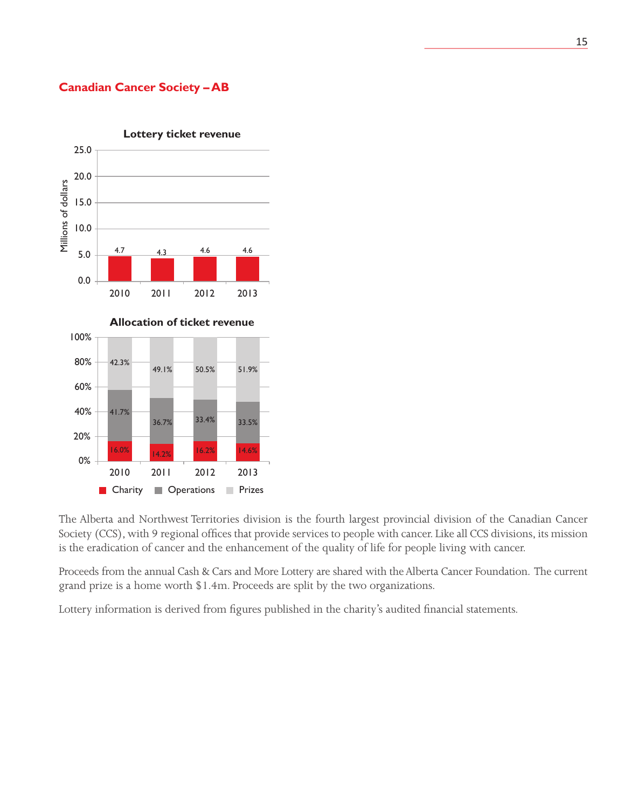### **Canadian Cancer Society – AB**



The Alberta and Northwest Territories division is the fourth largest provincial division of the Canadian Cancer Society (CCS), with 9 regional offices that provide services to people with cancer. Like all CCS divisions, its mission is the eradication of cancer and the enhancement of the quality of life for people living with cancer.

Proceeds from the annual Cash & Cars and More Lottery are shared with the Alberta Cancer Foundation. The current grand prize is a home worth \$1.4m. Proceeds are split by the two organizations.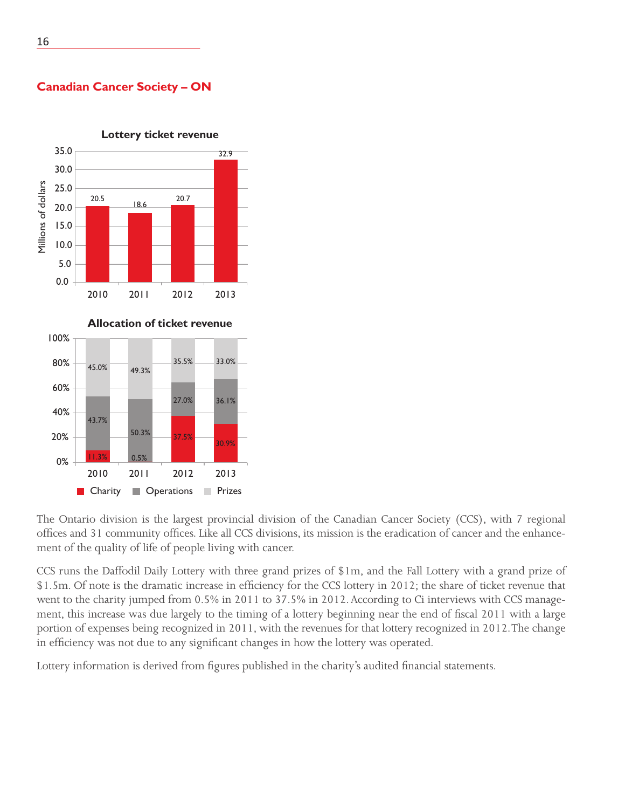



**Lottery ticket revenue**

The Ontario division is the largest provincial division of the Canadian Cancer Society (CCS), with 7 regional offices and 31 community offices. Like all CCS divisions, its mission is the eradication of cancer and the enhancement of the quality of life of people living with cancer.

CCS runs the Daffodil Daily Lottery with three grand prizes of \$1m, and the Fall Lottery with a grand prize of \$1.5m. Of note is the dramatic increase in efficiency for the CCS lottery in 2012; the share of ticket revenue that went to the charity jumped from 0.5% in 2011 to 37.5% in 2012. According to Ci interviews with CCS management, this increase was due largely to the timing of a lottery beginning near the end of fiscal 2011 with a large portion of expenses being recognized in 2011, with the revenues for that lottery recognized in 2012. The change in efficiency was not due to any significant changes in how the lottery was operated.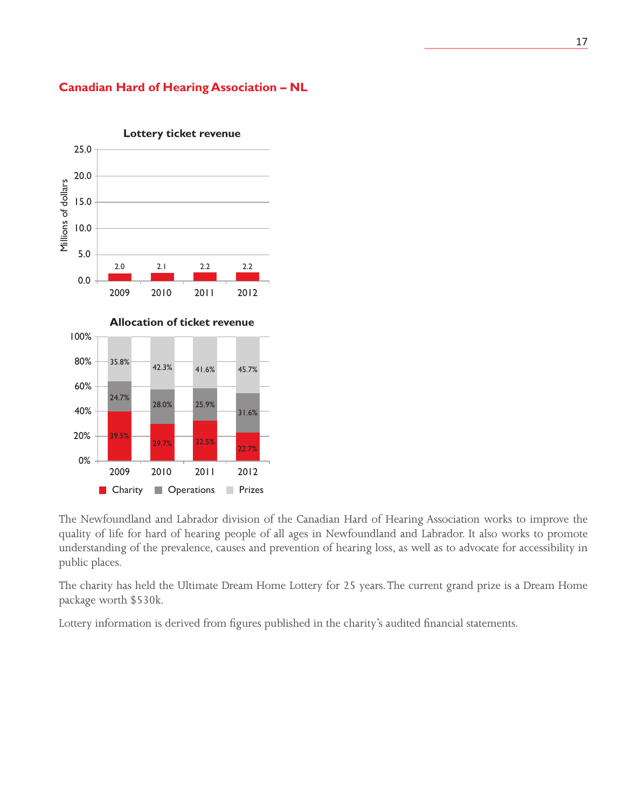### **Canadian Hard of Hearing Association – NL**



The Newfoundland and Labrador division of the Canadian Hard of Hearing Association works to improve the quality of life for hard of hearing people of all ages in Newfoundland and Labrador. It also works to promote understanding of the prevalence, causes and prevention of hearing loss, as well as to advocate for accessibility in public places.

The charity has held the Ultimate Dream Home Lottery for 25 years. The current grand prize is a Dream Home package worth \$530k.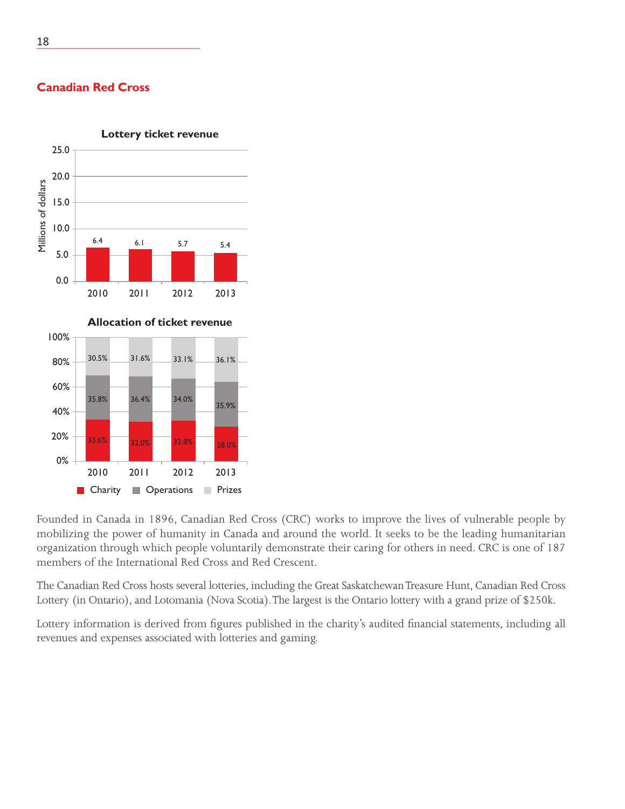

2010 2011 2012 2013

**Charity Operations Prizes** 

32.8% 32.0% 28.0% 33.6%

30.5% 31.6% 33.1% 36.1%

35.9%

35.8% 36.4% 34.0%

**Canadian Red Cross**

Founded in Canada in 1896, Canadian Red Cross (CRC) works to improve the lives of vulnerable people by mobilizing the power of humanity in Canada and around the world. It seeks to be the leading humanitarian organization through which people voluntarily demonstrate their caring for others in need. CRC is one of 187 members of the International Red Cross and Red Crescent.

The Canadian Red Cross hosts several lotteries, including the Great Saskatchewan Treasure Hunt, Canadian Red Cross Lottery (in Ontario), and Lotomania (Nova Scotia). The largest is the Ontario lottery with a grand prize of \$250k.

Lottery information is derived from figures published in the charity's audited financial statements, including all revenues and expenses associated with lotteries and gaming.

100%

80%

60%

40%

20%

0%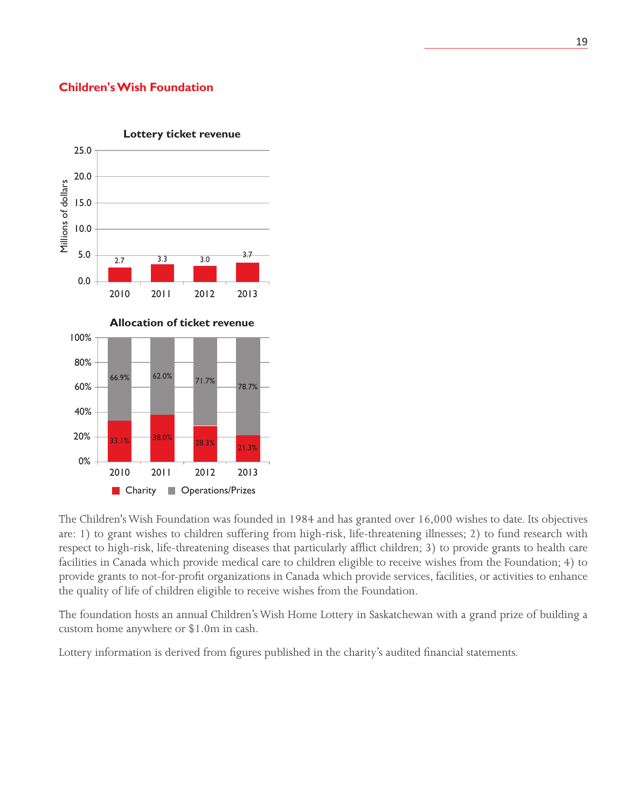### **Children's Wish Foundation**



The Children's Wish Foundation was founded in 1984 and has granted over 16,000 wishes to date. Its objectives are: 1) to grant wishes to children suffering from high-risk, life-threatening illnesses; 2) to fund research with respect to high-risk, life-threatening diseases that particularly afflict children; 3) to provide grants to health care facilities in Canada which provide medical care to children eligible to receive wishes from the Foundation; 4) to provide grants to not-for-profit organizations in Canada which provide services, facilities, or activities to enhance the quality of life of children eligible to receive wishes from the Foundation.

The foundation hosts an annual Children's Wish Home Lottery in Saskatchewan with a grand prize of building a custom home anywhere or \$1.0m in cash.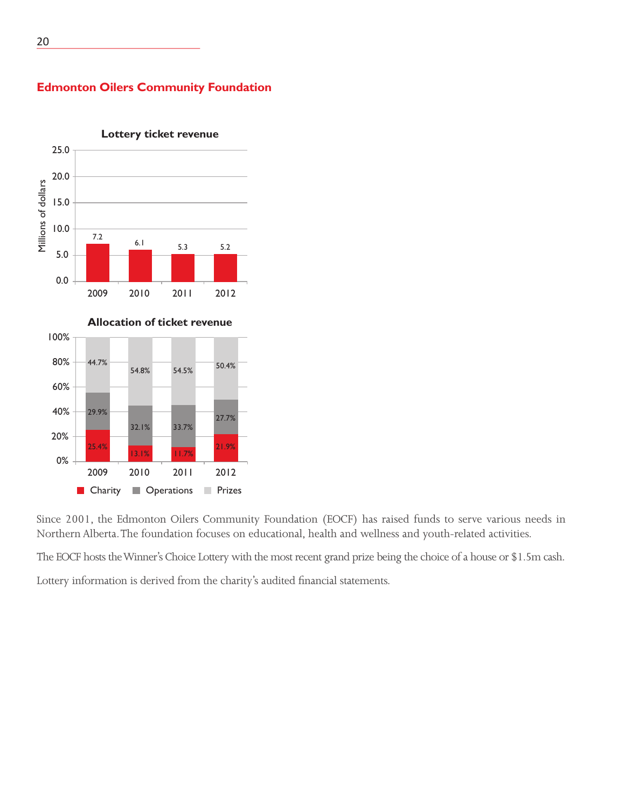

### **Edmonton Oilers Community Foundation**

Since 2001, the Edmonton Oilers Community Foundation (EOCF) has raised funds to serve various needs in Northern Alberta. The foundation focuses on educational, health and wellness and youth-related activities.

The EOCF hosts the Winner's Choice Lottery with the most recent grand prize being the choice of a house or \$1.5m cash.

Lottery information is derived from the charity's audited financial statements.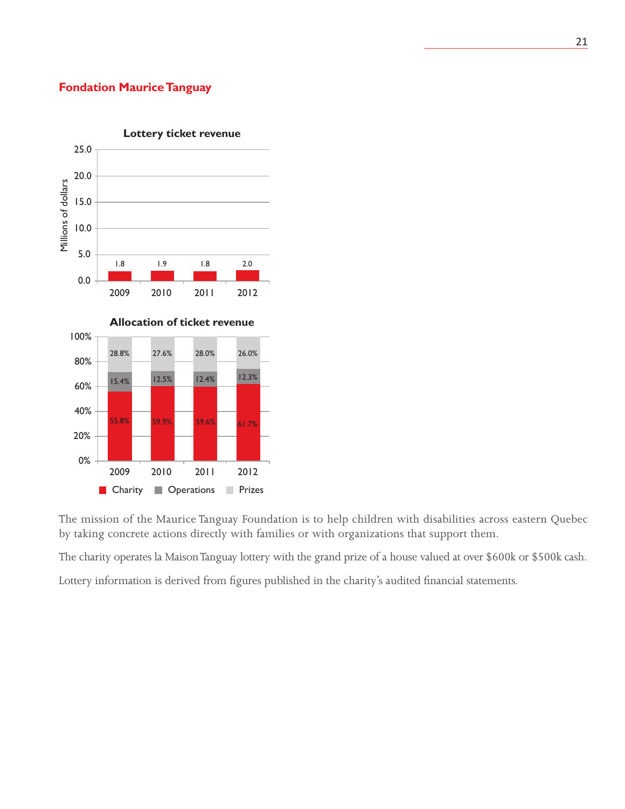### **Fondation Maurice Tanguay**



The mission of the Maurice Tanguay Foundation is to help children with disabilities across eastern Quebec by taking concrete actions directly with families or with organizations that support them.

The charity operates la Maison Tanguay lottery with the grand prize of a house valued at over \$600k or \$500k cash.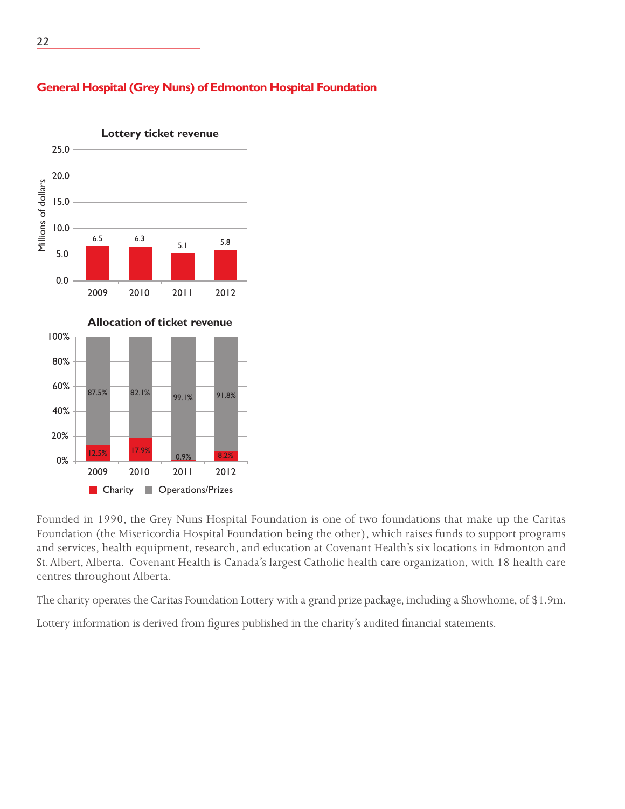

### **General Hospital (Grey Nuns) of Edmonton Hospital Foundation**

Founded in 1990, the Grey Nuns Hospital Foundation is one of two foundations that make up the Caritas Foundation (the Misericordia Hospital Foundation being the other), which raises funds to support programs and services, health equipment, research, and education at Covenant Health's six locations in Edmonton and St. Albert, Alberta. Covenant Health is Canada's largest Catholic health care organization, with 18 health care centres throughout Alberta.

The charity operates the Caritas Foundation Lottery with a grand prize package, including a Showhome, of \$1.9m.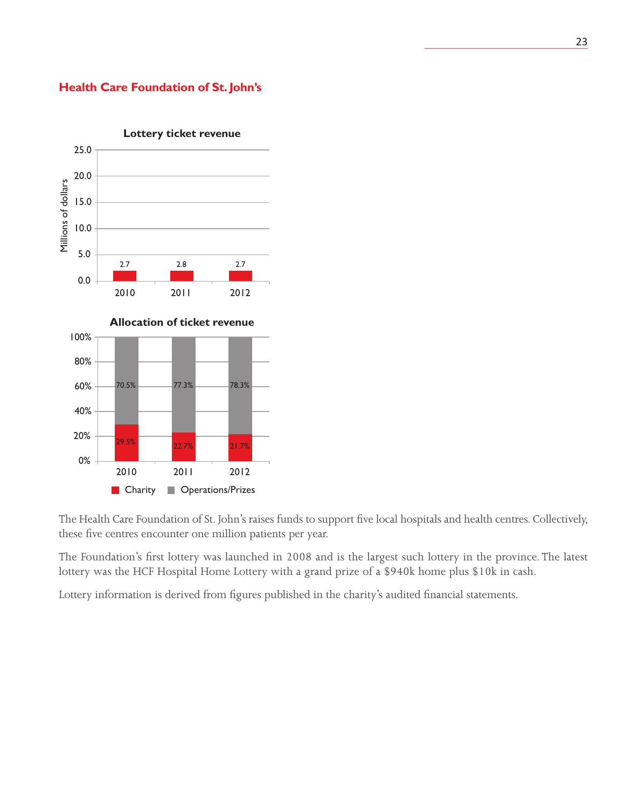### **Health Care Foundation of St. John's**



The Health Care Foundation of St. John's raises funds to support five local hospitals and health centres. Collectively, these five centres encounter one million patients per year.

The Foundation's first lottery was launched in 2008 and is the largest such lottery in the province. The latest lottery was the HCF Hospital Home Lottery with a grand prize of a \$940k home plus \$10k in cash.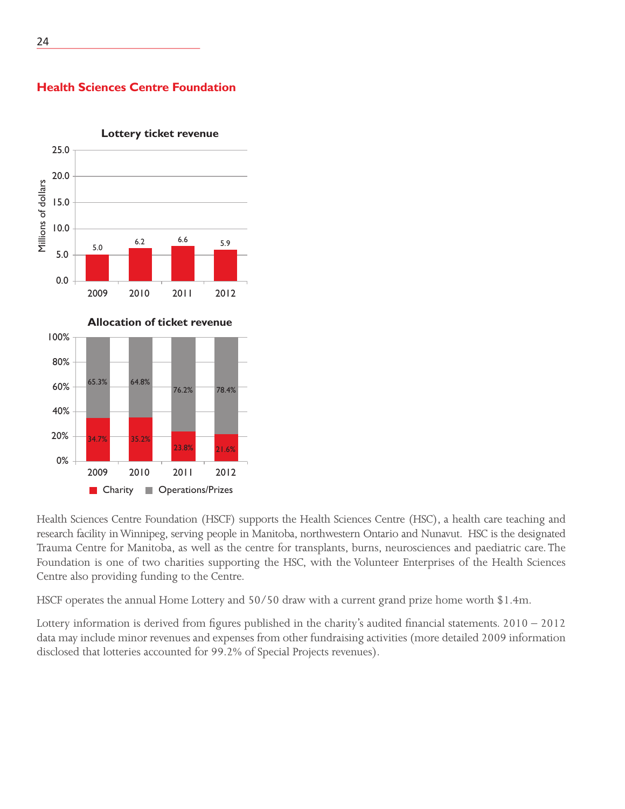

**Health Sciences Centre Foundation**

Health Sciences Centre Foundation (HSCF) supports the Health Sciences Centre (HSC), a health care teaching and research facility in Winnipeg, serving people in Manitoba, northwestern Ontario and Nunavut. HSC is the designated Trauma Centre for Manitoba, as well as the centre for transplants, burns, neurosciences and paediatric care. The Foundation is one of two charities supporting the HSC, with the Volunteer Enterprises of the Health Sciences Centre also providing funding to the Centre.

HSCF operates the annual Home Lottery and 50/50 draw with a current grand prize home worth \$1.4m.

Lottery information is derived from figures published in the charity's audited financial statements. 2010 – 2012 data may include minor revenues and expenses from other fundraising activities (more detailed 2009 information disclosed that lotteries accounted for 99.2% of Special Projects revenues).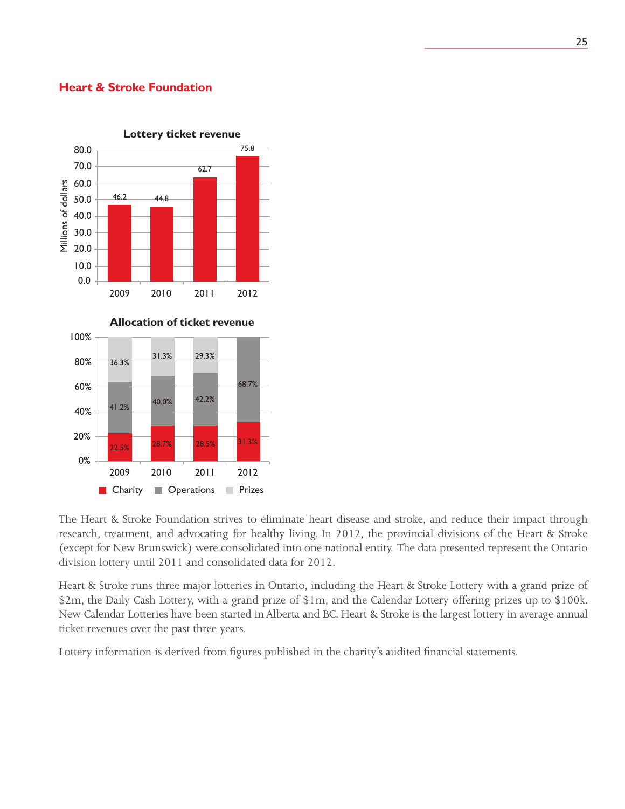### **Heart & Stroke Foundation**



The Heart & Stroke Foundation strives to eliminate heart disease and stroke, and reduce their impact through research, treatment, and advocating for healthy living. In 2012, the provincial divisions of the Heart & Stroke (except for New Brunswick) were consolidated into one national entity. The data presented represent the Ontario division lottery until 2011 and consolidated data for 2012.

Heart & Stroke runs three major lotteries in Ontario, including the Heart & Stroke Lottery with a grand prize of \$2m, the Daily Cash Lottery, with a grand prize of \$1m, and the Calendar Lottery offering prizes up to \$100k. New Calendar Lotteries have been started in Alberta and BC. Heart & Stroke is the largest lottery in average annual ticket revenues over the past three years.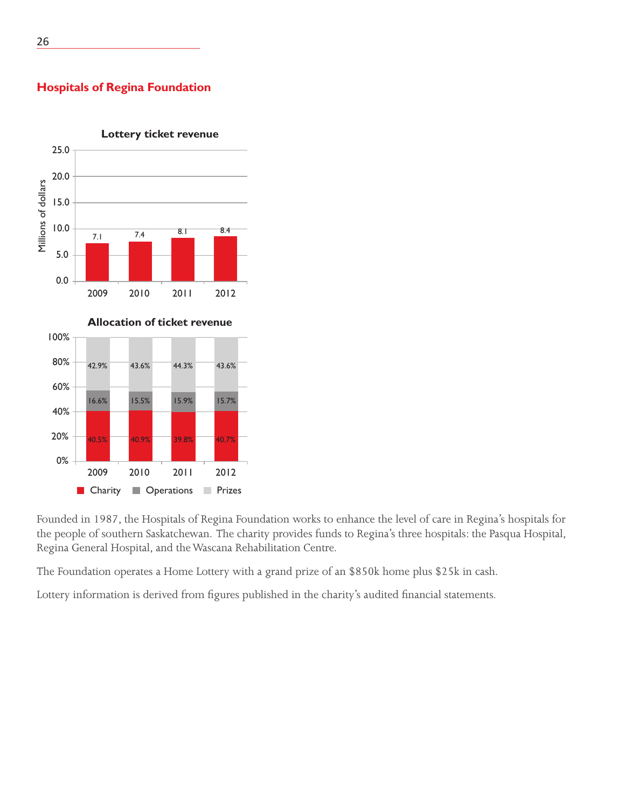### 25.0 20.0 Millions of dollars Millions of dollars 15.0 10.0 7.4 8.1 8.4 7.1 5.0 0.0 2009 2010 2011 2012 **Allocation of ticket revenue** 100%

**Lottery ticket revenue**

**Hospitals of Regina Foundation**



Founded in 1987, the Hospitals of Regina Foundation works to enhance the level of care in Regina's hospitals for the people of southern Saskatchewan. The charity provides funds to Regina's three hospitals: the Pasqua Hospital, Regina General Hospital, and the Wascana Rehabilitation Centre.

The Foundation operates a Home Lottery with a grand prize of an \$850k home plus \$25k in cash.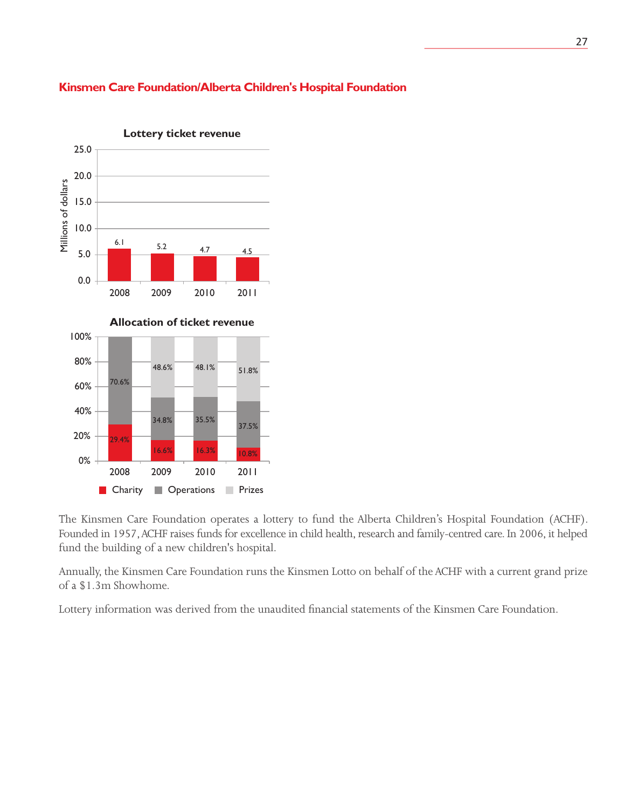### **Kinsmen Care Foundation/Alberta Children's Hospital Foundation**



The Kinsmen Care Foundation operates a lottery to fund the Alberta Children's Hospital Foundation (ACHF). Founded in 1957, ACHF raises funds for excellence in child health, research and family-centred care. In 2006, it helped fund the building of a new children's hospital.

Annually, the Kinsmen Care Foundation runs the Kinsmen Lotto on behalf of the ACHF with a current grand prize of a \$1.3m Showhome.

Lottery information was derived from the unaudited financial statements of the Kinsmen Care Foundation.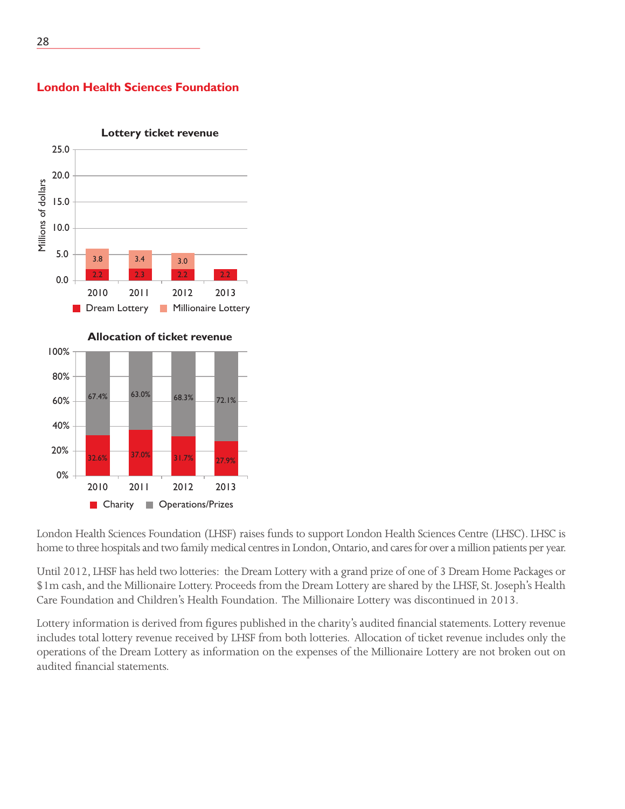

# **London Health Sciences Foundation**



London Health Sciences Foundation (LHSF) raises funds to support London Health Sciences Centre (LHSC). LHSC is home to three hospitals and two family medical centres in London, Ontario, and cares for over a million patients per year.

Until 2012, LHSF has held two lotteries: the Dream Lottery with a grand prize of one of 3 Dream Home Packages or \$1m cash, and the Millionaire Lottery. Proceeds from the Dream Lottery are shared by the LHSF, St. Joseph's Health Care Foundation and Children's Health Foundation. The Millionaire Lottery was discontinued in 2013.

Lottery information is derived from figures published in the charity's audited financial statements. Lottery revenue includes total lottery revenue received by LHSF from both lotteries. Allocation of ticket revenue includes only the operations of the Dream Lottery as information on the expenses of the Millionaire Lottery are not broken out on audited financial statements.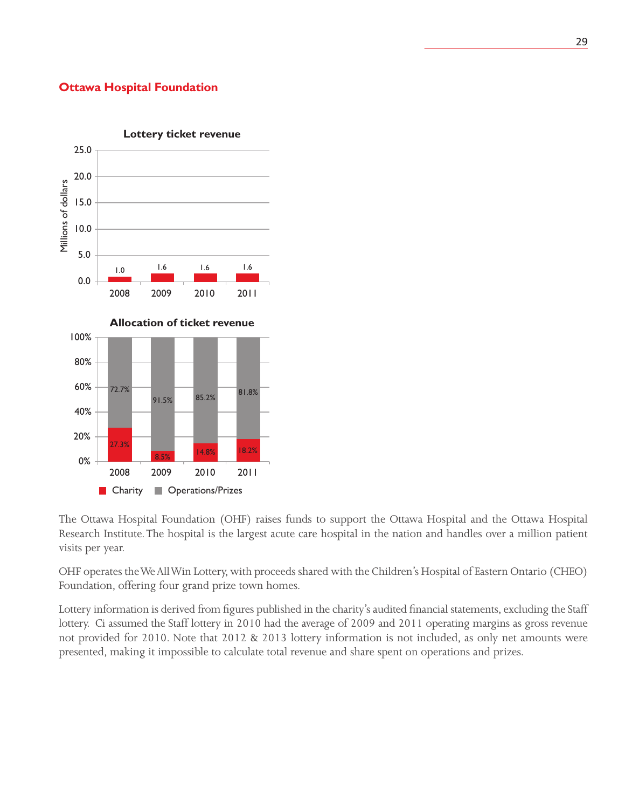### **Ottawa Hospital Foundation**



The Ottawa Hospital Foundation (OHF) raises funds to support the Ottawa Hospital and the Ottawa Hospital Research Institute. The hospital is the largest acute care hospital in the nation and handles over a million patient visits per year.

OHF operates the We All Win Lottery, with proceeds shared with the Children's Hospital of Eastern Ontario (CHEO) Foundation, offering four grand prize town homes.

Lottery information is derived from figures published in the charity's audited financial statements, excluding the Staff lottery. Ci assumed the Staff lottery in 2010 had the average of 2009 and 2011 operating margins as gross revenue not provided for 2010. Note that 2012 & 2013 lottery information is not included, as only net amounts were presented, making it impossible to calculate total revenue and share spent on operations and prizes.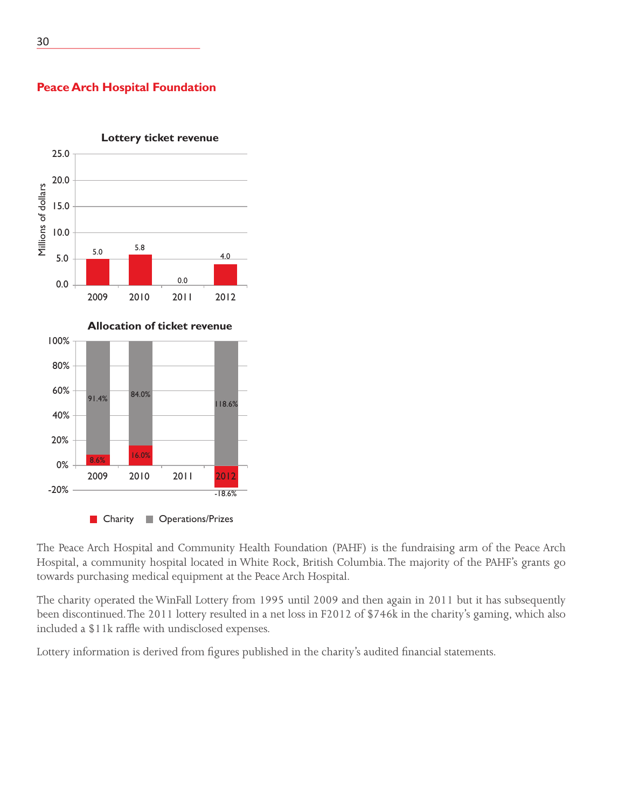### 25.0 20.0 Millions of dollars Millions of dollars 15.0 10.0 5.0 5.8 4.0 5.0 0.0 0.0 2009 2010 2011 2012 **Allocation of ticket revenue** 100% 80% 60% 84.0% 91.4% 84.0% 91.4% 40% 20% 8.6% 16.0% 0% 2009 2010 2011 2012 -20% -18.6%

# **Lottery ticket revenue**

**Peace Arch Hospital Foundation**

**Charity Charity** Operations/Prizes

The Peace Arch Hospital and Community Health Foundation (PAHF) is the fundraising arm of the Peace Arch Hospital, a community hospital located in White Rock, British Columbia. The majority of the PAHF's grants go towards purchasing medical equipment at the Peace Arch Hospital.

The charity operated the WinFall Lottery from 1995 until 2009 and then again in 2011 but it has subsequently been discontinued. The 2011 lottery resulted in a net loss in F2012 of \$746k in the charity's gaming, which also included a \$11k raffle with undisclosed expenses.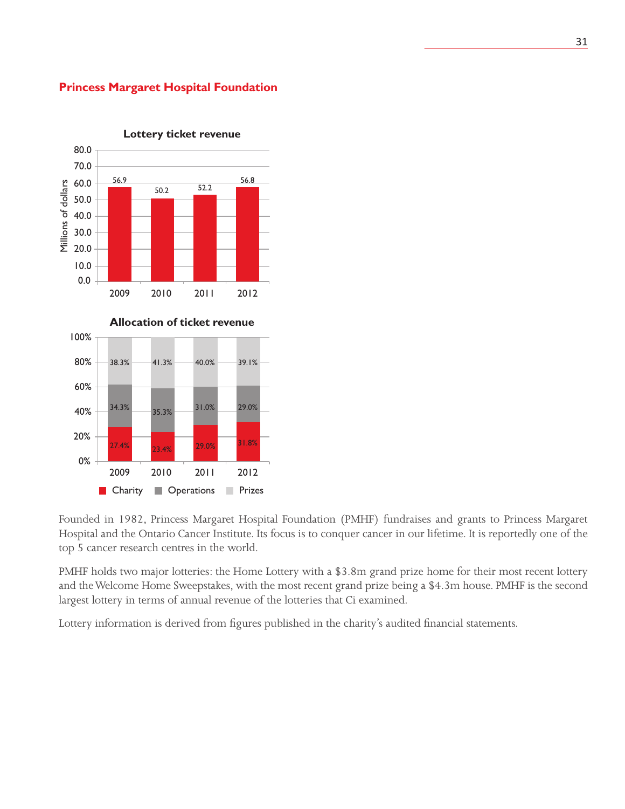

### **Princess Margaret Hospital Foundation**

Founded in 1982, Princess Margaret Hospital Foundation (PMHF) fundraises and grants to Princess Margaret Hospital and the Ontario Cancer Institute. Its focus is to conquer cancer in our lifetime. It is reportedly one of the top 5 cancer research centres in the world.

PMHF holds two major lotteries: the Home Lottery with a \$3.8m grand prize home for their most recent lottery and the Welcome Home Sweepstakes, with the most recent grand prize being a \$4.3m house. PMHF is the second largest lottery in terms of annual revenue of the lotteries that Ci examined.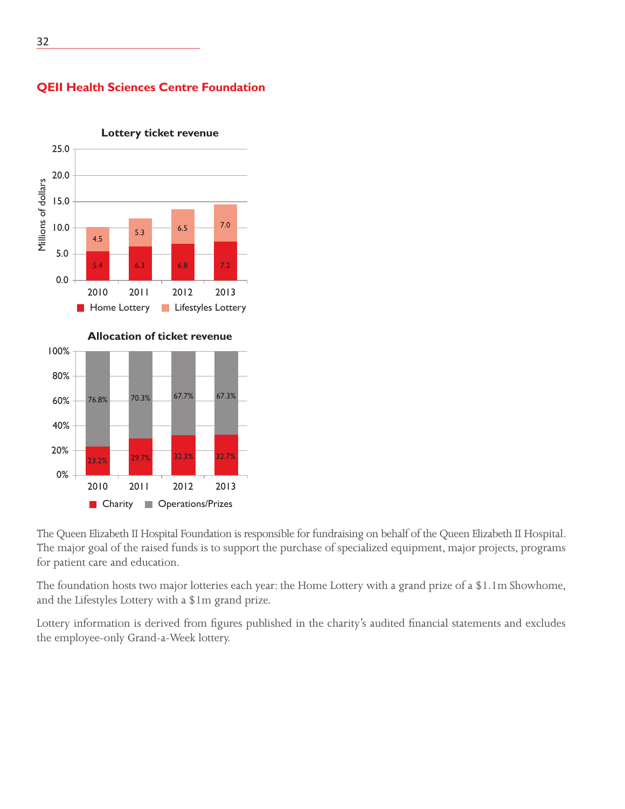

### **QEII Health Sciences Centre Foundation**

**Lottery ticket revenue**

0% 2010 2011 2012 2013 Charity **Operations/Prizes** 

The Queen Elizabeth II Hospital Foundation is responsible for fundraising on behalf of the Queen Elizabeth II Hospital. The major goal of the raised funds is to support the purchase of specialized equipment, major projects, programs for patient care and education.

The foundation hosts two major lotteries each year: the Home Lottery with a grand prize of a \$1.1m Showhome, and the Lifestyles Lottery with a \$1m grand prize.

Lottery information is derived from figures published in the charity's audited financial statements and excludes the employee-only Grand-a-Week lottery.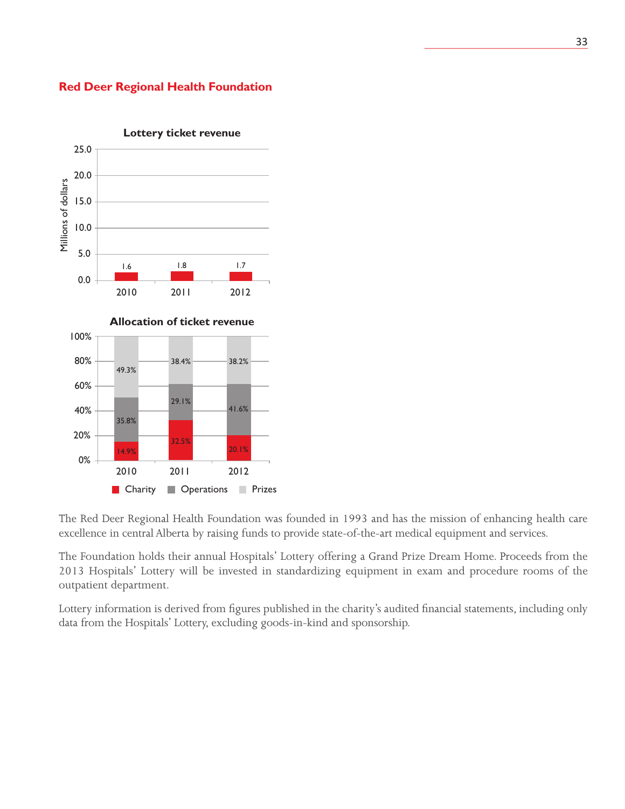



The Red Deer Regional Health Foundation was founded in 1993 and has the mission of enhancing health care excellence in central Alberta by raising funds to provide state-of-the-art medical equipment and services.

The Foundation holds their annual Hospitals' Lottery offering a Grand Prize Dream Home. Proceeds from the 2013 Hospitals' Lottery will be invested in standardizing equipment in exam and procedure rooms of the outpatient department.

Lottery information is derived from figures published in the charity's audited financial statements, including only data from the Hospitals' Lottery, excluding goods-in-kind and sponsorship.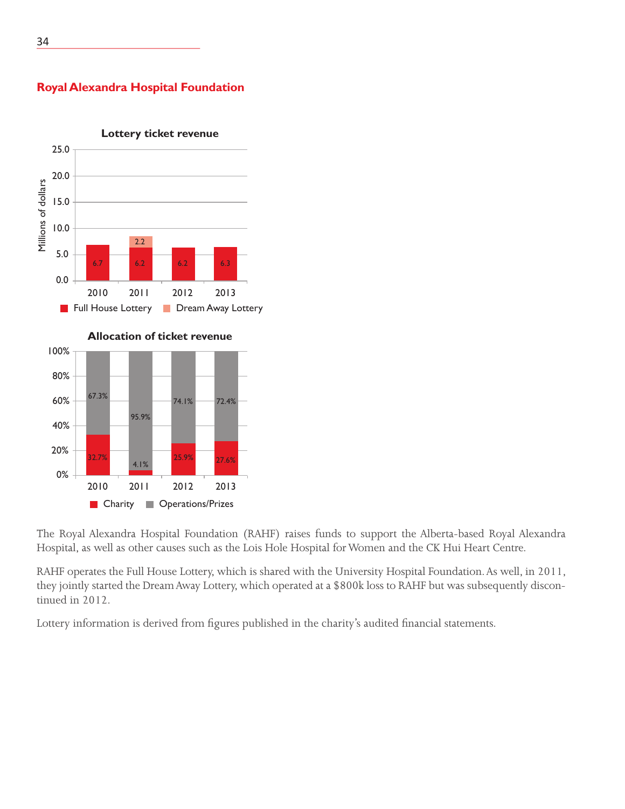

**Royal Alexandra Hospital Foundation**



 $74.1\%$   $72.4\%$ 

95.9%

4.1%

2010 2011 2012 2013

**Charity Operations/Prizes** 

25.9% 27.6%

The Royal Alexandra Hospital Foundation (RAHF) raises funds to support the Alberta-based Royal Alexandra Hospital, as well as other causes such as the Lois Hole Hospital for Women and the CK Hui Heart Centre.

RAHF operates the Full House Lottery, which is shared with the University Hospital Foundation. As well, in 2011, they jointly started the Dream Away Lottery, which operated at a \$800k loss to RAHF but was subsequently discontinued in 2012.

Lottery information is derived from figures published in the charity's audited financial statements.

60%

40%

20%

0%

32.7%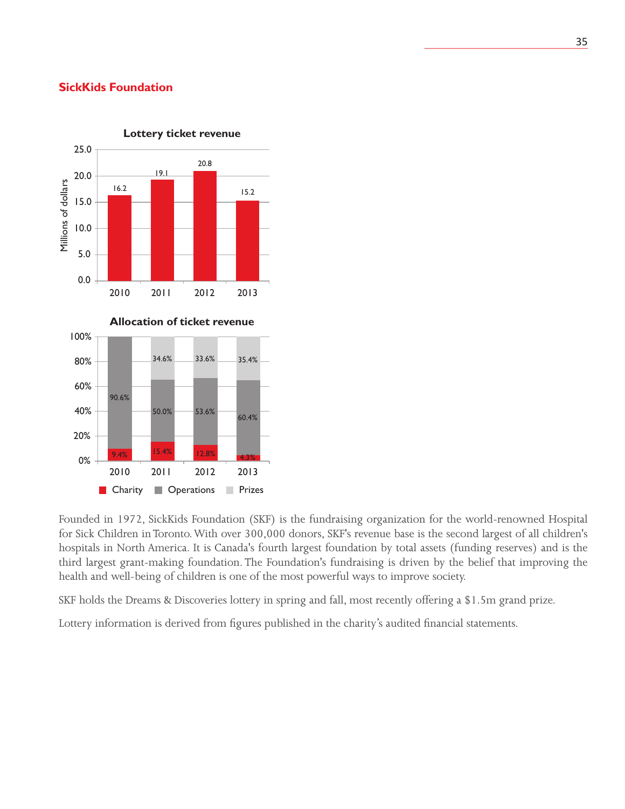### **SickKids Foundation**



Founded in 1972, SickKids Foundation (SKF) is the fundraising organization for the world-renowned Hospital for Sick Children in Toronto. With over 300,000 donors, SKF's revenue base is the second largest of all children's hospitals in North America. It is Canada's fourth largest foundation by total assets (funding reserves) and is the third largest grant-making foundation. The Foundation's fundraising is driven by the belief that improving the health and well-being of children is one of the most powerful ways to improve society.

SKF holds the Dreams & Discoveries lottery in spring and fall, most recently offering a \$1.5m grand prize.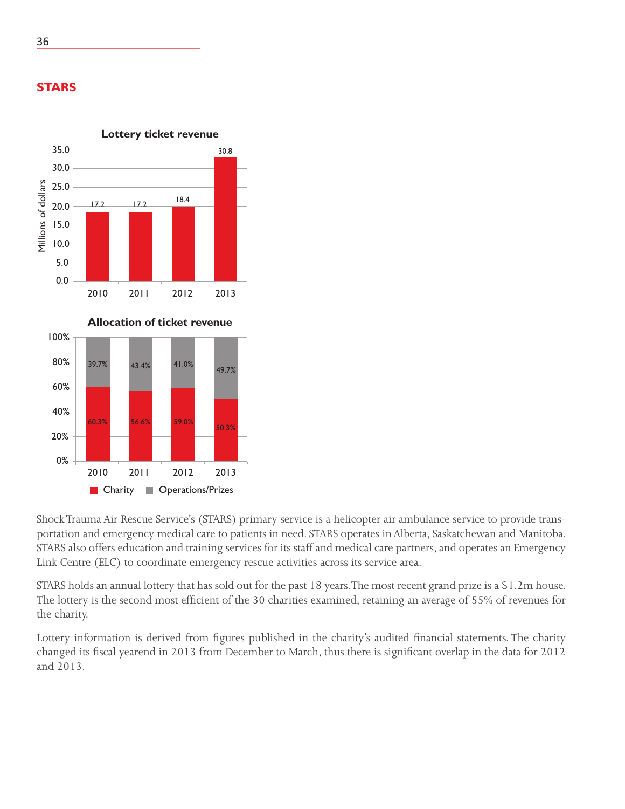



Shock Trauma Air Rescue Service's (STARS) primary service is a helicopter air ambulance service to provide transportation and emergency medical care to patients in need. STARS operates in Alberta, Saskatchewan and Manitoba. STARS also offers education and training services for its staff and medical care partners, and operates an Emergency Link Centre (ELC) to coordinate emergency rescue activities across its service area.

STARS holds an annual lottery that has sold out for the past 18 years. The most recent grand prize is a \$1.2m house. The lottery is the second most efficient of the 30 charities examined, retaining an average of 55% of revenues for the charity.

Lottery information is derived from figures published in the charity's audited financial statements. The charity changed its fiscal yearend in 2013 from December to March, thus there is significant overlap in the data for 2012 and 2013.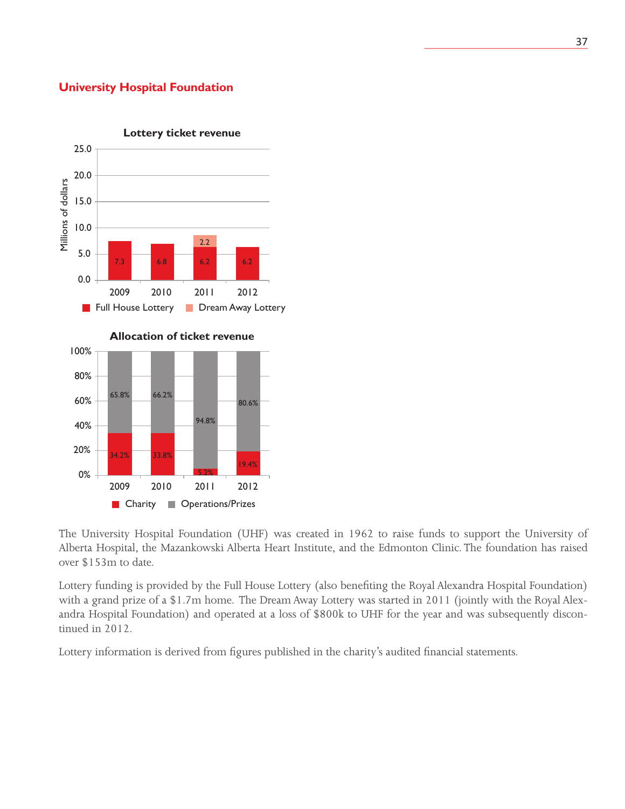### **University Hospital Foundation**



The University Hospital Foundation (UHF) was created in 1962 to raise funds to support the University of Alberta Hospital, the Mazankowski Alberta Heart Institute, and the Edmonton Clinic. The foundation has raised over \$153m to date.

Lottery funding is provided by the Full House Lottery (also benefiting the Royal Alexandra Hospital Foundation) with a grand prize of a \$1.7m home. The Dream Away Lottery was started in 2011 (jointly with the Royal Alexandra Hospital Foundation) and operated at a loss of \$800k to UHF for the year and was subsequently discontinued in 2012.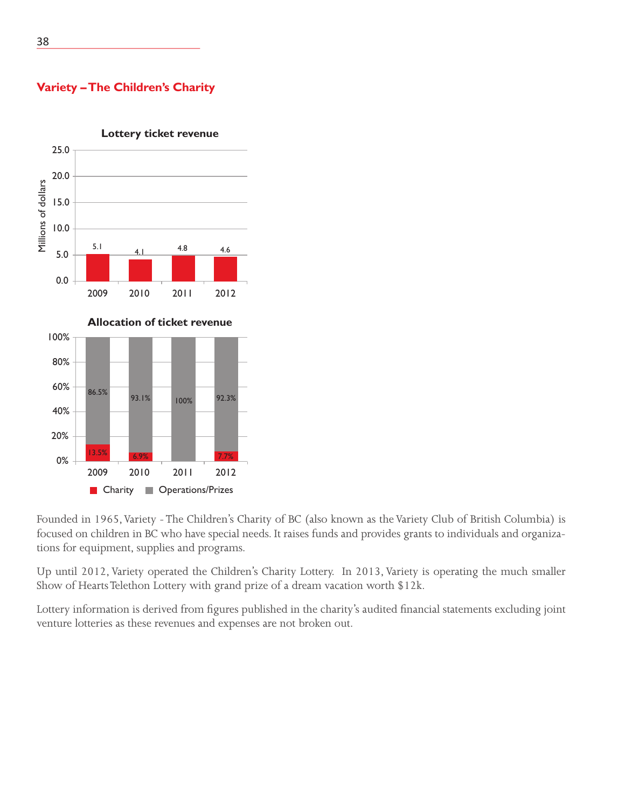### **Lottery ticket revenue** 25.0 20.0 Millions of dollars Millions of dollars 15.0 10.0 5.1 4.1 4.8 4.6 5.0 0.0 2009 2010 2011 2012 **Allocation of ticket revenue** 100% 80% 60% 86.5% 93.1% 100% 92.3% 40% 20% 13.5% 6.9% 7.7% 0% 2009 2010 2011 2012 **Charity Operations/Prizes**

**Variety – The Children's Charity**

Founded in 1965, Variety - The Children's Charity of BC (also known as the Variety Club of British Columbia) is focused on children in BC who have special needs. It raises funds and provides grants to individuals and organizations for equipment, supplies and programs.

Up until 2012, Variety operated the Children's Charity Lottery. In 2013, Variety is operating the much smaller Show of Hearts Telethon Lottery with grand prize of a dream vacation worth \$12k.

Lottery information is derived from figures published in the charity's audited financial statements excluding joint venture lotteries as these revenues and expenses are not broken out.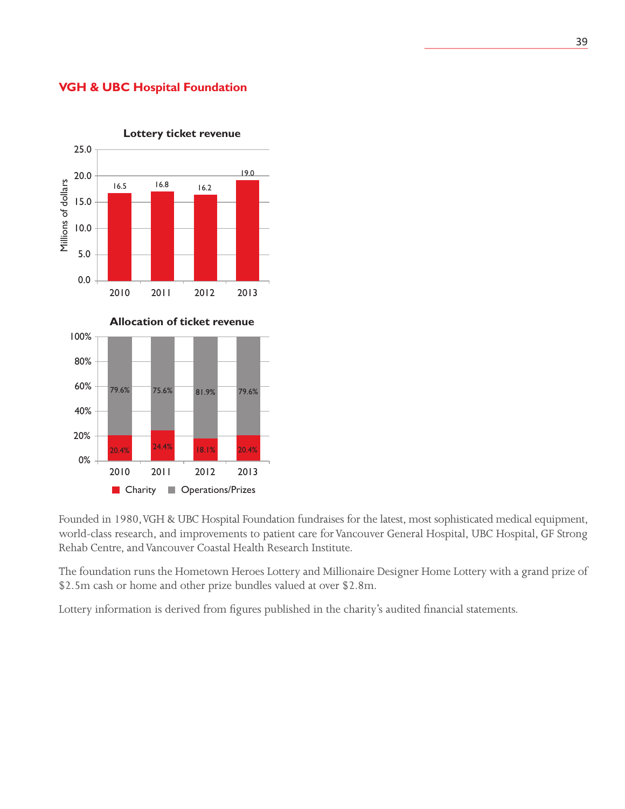### **VGH & UBC Hospital Foundation**



**Lottery ticket revenue**

Founded in 1980, VGH & UBC Hospital Foundation fundraises for the latest, most sophisticated medical equipment, world-class research, and improvements to patient care for Vancouver General Hospital, UBC Hospital, GF Strong Rehab Centre, and Vancouver Coastal Health Research Institute.

The foundation runs the Hometown Heroes Lottery and Millionaire Designer Home Lottery with a grand prize of \$2.5m cash or home and other prize bundles valued at over \$2.8m.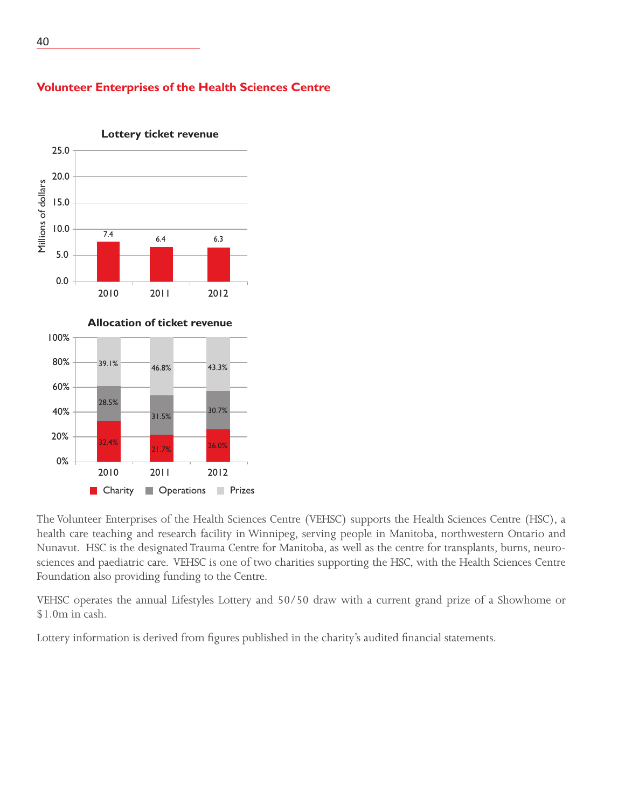

### **Volunteer Enterprises of the Health Sciences Centre**



The Volunteer Enterprises of the Health Sciences Centre (VEHSC) supports the Health Sciences Centre (HSC), a health care teaching and research facility in Winnipeg, serving people in Manitoba, northwestern Ontario and Nunavut. HSC is the designated Trauma Centre for Manitoba, as well as the centre for transplants, burns, neurosciences and paediatric care. VEHSC is one of two charities supporting the HSC, with the Health Sciences Centre Foundation also providing funding to the Centre.

VEHSC operates the annual Lifestyles Lottery and 50/50 draw with a current grand prize of a Showhome or \$1.0m in cash.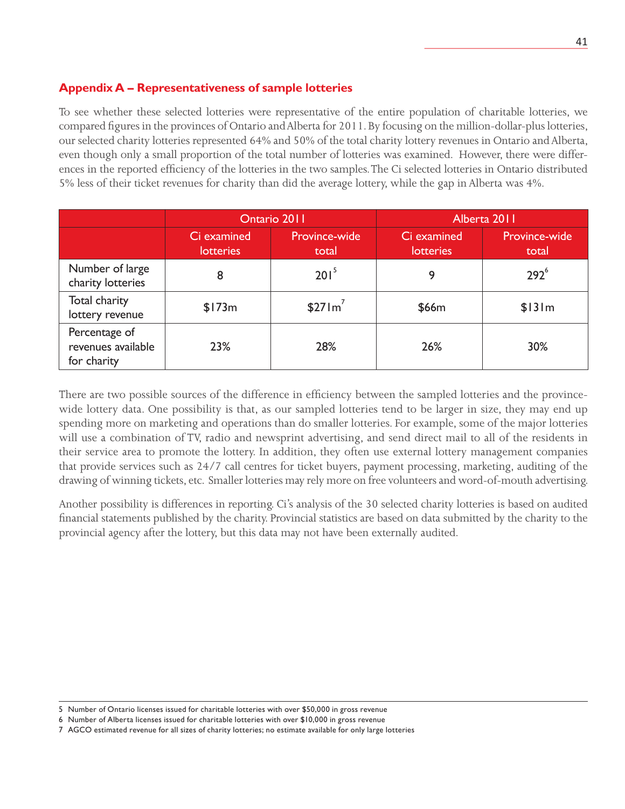### **Appendix A – Representativeness of sample lotteries**

To see whether these selected lotteries were representative of the entire population of charitable lotteries, we compared figures in the provinces of Ontario and Alberta for 2011. By focusing on the million-dollar-plus lotteries, our selected charity lotteries represented 64% and 50% of the total charity lottery revenues in Ontario and Alberta, even though only a small proportion of the total number of lotteries was examined. However, there were differences in the reported efficiency of the lotteries in the two samples. The Ci selected lotteries in Ontario distributed 5% less of their ticket revenues for charity than did the average lottery, while the gap in Alberta was 4%.

|                                                    | Ontario 2011                    |                        | Alberta 2011                    |                        |
|----------------------------------------------------|---------------------------------|------------------------|---------------------------------|------------------------|
|                                                    | Ci examined<br><b>lotteries</b> | Province-wide<br>total | Ci examined<br><b>lotteries</b> | Province-wide<br>total |
| Number of large<br>charity lotteries               | 8                               | 201 <sup>5</sup>       | 9                               | 292 <sup>6</sup>       |
| Total charity<br>lottery revenue                   | \$173m                          | \$271m'                | \$66m                           | \$131m                 |
| Percentage of<br>revenues available<br>for charity | 23%                             | 28%                    | 26%                             | 30%                    |

There are two possible sources of the difference in efficiency between the sampled lotteries and the provincewide lottery data. One possibility is that, as our sampled lotteries tend to be larger in size, they may end up spending more on marketing and operations than do smaller lotteries. For example, some of the major lotteries will use a combination of TV, radio and newsprint advertising, and send direct mail to all of the residents in their service area to promote the lottery. In addition, they often use external lottery management companies that provide services such as 24/7 call centres for ticket buyers, payment processing, marketing, auditing of the drawing of winning tickets, etc. Smaller lotteries may rely more on free volunteers and word-of-mouth advertising.

Another possibility is differences in reporting. Ci's analysis of the 30 selected charity lotteries is based on audited financial statements published by the charity. Provincial statistics are based on data submitted by the charity to the provincial agency after the lottery, but this data may not have been externally audited.

<sup>5</sup> Number of Ontario licenses issued for charitable lotteries with over \$50,000 in gross revenue

<sup>6</sup> Number of Alberta licenses issued for charitable lotteries with over \$10,000 in gross revenue

<sup>7</sup> AGCO estimated revenue for all sizes of charity lotteries; no estimate available for only large lotteries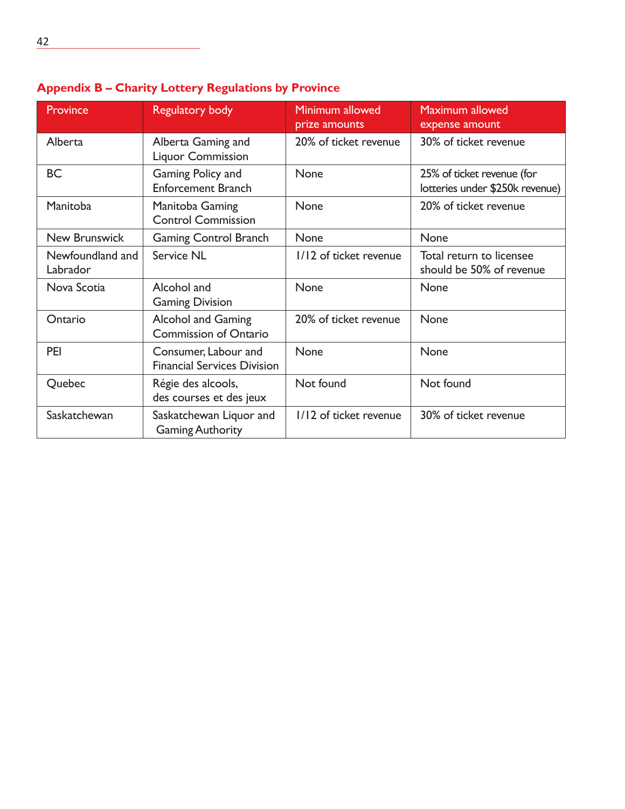| <b>Province</b>              | <b>Regulatory body</b>                                     | Minimum allowed<br>prize amounts | Maximum allowed<br>expense amount                             |
|------------------------------|------------------------------------------------------------|----------------------------------|---------------------------------------------------------------|
| Alberta                      | Alberta Gaming and<br><b>Liquor Commission</b>             | 20% of ticket revenue            | 30% of ticket revenue                                         |
| <b>BC</b>                    | Gaming Policy and<br><b>Enforcement Branch</b>             | None                             | 25% of ticket revenue (for<br>lotteries under \$250k revenue) |
| Manitoba                     | Manitoba Gaming<br><b>Control Commission</b>               | None                             | 20% of ticket revenue                                         |
| <b>New Brunswick</b>         | <b>Gaming Control Branch</b>                               | None                             | None                                                          |
| Newfoundland and<br>Labrador | <b>Service NL</b>                                          | 1/12 of ticket revenue           | Total return to licensee<br>should be 50% of revenue          |
| Nova Scotia                  | Alcohol and<br><b>Gaming Division</b>                      | None                             | None                                                          |
| Ontario                      | <b>Alcohol and Gaming</b><br><b>Commission of Ontario</b>  | 20% of ticket revenue            | None                                                          |
| <b>PEI</b>                   | Consumer, Labour and<br><b>Financial Services Division</b> | None                             | None                                                          |
| Quebec                       | Régie des alcools,<br>des courses et des jeux              | Not found                        | Not found                                                     |
| Saskatchewan                 | Saskatchewan Liquor and<br><b>Gaming Authority</b>         | 1/12 of ticket revenue           | 30% of ticket revenue                                         |

# **Appendix B – Charity Lottery Regulations by Province**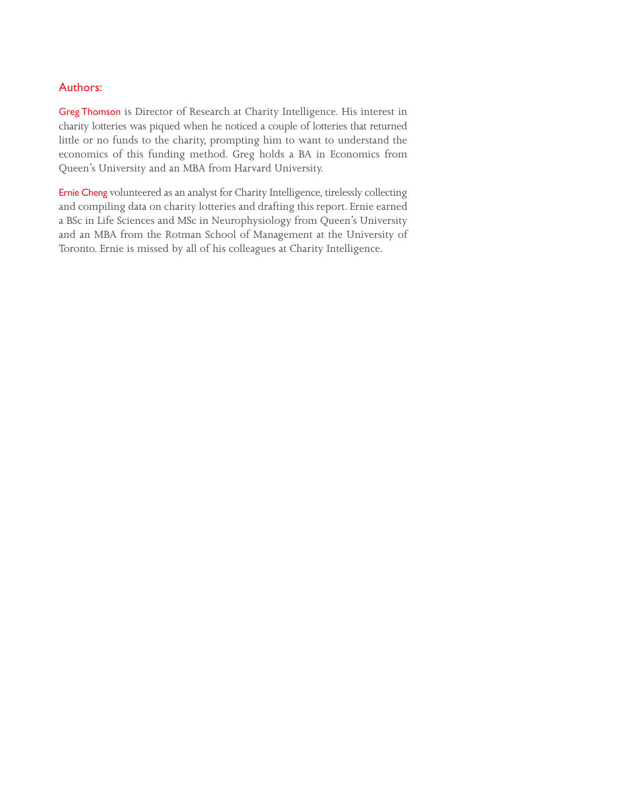### Authors:

Greg Thomson is Director of Research at Charity Intelligence. His interest in charity lotteries was piqued when he noticed a couple of lotteries that returned little or no funds to the charity, prompting him to want to understand the economics of this funding method. Greg holds a BA in Economics from Queen's University and an MBA from Harvard University.

Ernie Cheng volunteered as an analyst for Charity Intelligence, tirelessly collecting and compiling data on charity lotteries and drafting this report. Ernie earned a BSc in Life Sciences and MSc in Neurophysiology from Queen's University and an MBA from the Rotman School of Management at the University of Toronto. Ernie is missed by all of his colleagues at Charity Intelligence.